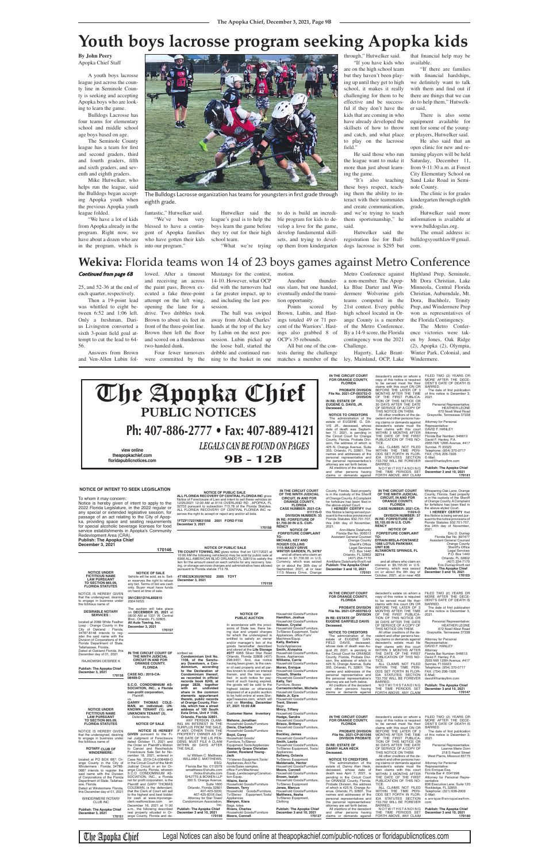25, and 52-36 at the end of each quarter, respectively.

Then a 19-point lead was whittled to eight between 6:52 and 1:06 left. Only a freshman, Darius Livingston converted a sixth 3-point field goal attempt to cut the lead to 64- 56.

Answers from Brown and Ven-Allen Lubin fol-

lowed. After a timeout and receiving an across the paint pass, Brown executed a fake three-point attempt on the left wing, opening the lane for a drive. Two dribbles took

Brown to about six feet in front of the three-point line. Brown then left the floor and scored on a thunderous two-handed dunk.

Four fewer turnovers were committed by the The ball was swiped

Mustangs for the contest, 14-10. However, what OCP did with the turnovers had a far greater impact, up to and including the last posmotion.

session. away from Abiah Charles' hands at the top of the key by Lubin on the next possession. Lubin picked up

the loose ball, started the dribble and continued running to the basket in one

Another thunder-

ous slam, but one handed, eventually ended the transition opportunity. Points scored by

Brown, Lubin, and Hastings totaled 49 or 71 percent of the Warriors'. Hastings also grabbed 8 of OCP's 35 rebounds.

All but one of the contests during the challenge matches a member of the

"We've been very blessed to have a contingent of Apopka families who have gotten their kids

> Metro Conference against a non-member. The Apopka Blue Darter and Windermere Wolverine girls teams competed in the 21st contest. Every public high school located in Orange County is a member of the Metro Conference. By a 14-9 score, the Florida contingency won the 2021 Challenge.

Hagerty, Lake Brantley, Mainland, OCP, Lake

Highland Prep, Seminole, Mt Dora Christian, Lake Minneola, Central Florida Christian, Auburndale, Mt. Dora, Buchholz, Trinity Prep, and Windermere Prep won as representatives of the Florida Contingency. The Metro Confer-

ence victories were taken by Jones, Oak Ridge (2), Apopka (2), Olympia, Winter Park, Colonial, and Windermere.

### **By John Peery** Apopka Chief Staff

A youth boys lacrosse league just across the county line in Seminole County is seeking and accepting Apopka boys who are looking to learn the game.

Bulldogs Lacrosse has four teams for elementary school and middle school age boys based on age.

The Seminole County league has a team for first and second graders, third and fourth graders, fifth and sixth graders, and seventh and eighth graders.

Mike Hutwelker, who helps run the league, said the Bulldogs began accepting Apopka youth when the previous Apopka youth league folded.

"We have a lot of kids from Apopka already in the program. Right now, we have about a dozen who are in the program, which is into our program."

fantastic," Hutwelker said.

Hutwelker said the league's goal is to help the boys learn the game before they try out for their high school team.

"What we're trying

to do is build an incredi-

ble program for kids to develop a love for the game, develop fundamental skillsets, and trying to devel-

op them from kindergarten

through," Hutwelker said.

"If you have kids who are on the high school team but they haven't been playing up until they get to high school, it makes it really challenging for them to be effective and be successful if they don't have the kids that are coming in who have already developed the skillsets of how to throw and catch, and what place to play on the lacrosse field."

He said those who run the league want to make it more than just about learning the game.

"It's also teaching these boys respect, teaching them the ability to interact with their teammates and create communication, and we're trying to teach them sportsmanship," he said.

Hutwelker said the registration fee for Bulldogs lacrosse is \$295 but

that financial help may be available.

"If there are families with financial hardships, we definitely want to talk with them and find out if there are things that we can do to help them," Hutwelker said.

There is also some equipment available for rent for some of the younger players, Hutwelker said.

He also said that an open clinic for new and returning players will be held Saturday, December 11, from 9-11:30 a.m. at Forest City Elementary School on Sand Lake Road in Seminole County.

The clinic is for grades kindergarten through eighth grade.

Hutwelker said more information is available at www.bulldogslax.org.

The email address is: bulldogsyouthlaw@gmail. com.

# **Wekiva:** Florida teams won 14 of 23 boys games against Metro Conference

### Continued from page 6B

# **Youth boys lacrosse program seeking Apopka kids**



The Bulldogs Lacrosse organization has teams for youngsters in first grade through eighth grade.

Attorney for Personal<br>Representative: Representative: DAVID F. HANLEY

| NOTICE OF INTENT TO SEEN ELGISLATION                                                                                                                                                                                                                                                                                                       |                                                                                                                                                                                                                                                              | <b>NOTICE OF PUBLIC SALE</b><br>ALL FLORIDA RECOVERY OF CENTRAL FLORIDA INC gives                                                                                                                                                                                                                                                                                                                     |                                                                                                                                                                                                                                                                                                                                   | IN THE CIRCUIT COURT<br>OF THE NINTH JUDICIAL                                                                                                                                                                                       | County, Florida. Said property<br>is in the custody of the Sheriff                                                                                                                                                                                                                                           | IN THE CIRCUIT COURT<br>OF THE NINTH JUDICIAL                                                                                                                                                                                                                                                  | Whispering Oak Lane, Orange<br>County, Florida. Said property                                                                                                                                                                                                                                              |
|--------------------------------------------------------------------------------------------------------------------------------------------------------------------------------------------------------------------------------------------------------------------------------------------------------------------------------------------|--------------------------------------------------------------------------------------------------------------------------------------------------------------------------------------------------------------------------------------------------------------|-------------------------------------------------------------------------------------------------------------------------------------------------------------------------------------------------------------------------------------------------------------------------------------------------------------------------------------------------------------------------------------------------------|-----------------------------------------------------------------------------------------------------------------------------------------------------------------------------------------------------------------------------------------------------------------------------------------------------------------------------------|-------------------------------------------------------------------------------------------------------------------------------------------------------------------------------------------------------------------------------------|--------------------------------------------------------------------------------------------------------------------------------------------------------------------------------------------------------------------------------------------------------------------------------------------------------------|------------------------------------------------------------------------------------------------------------------------------------------------------------------------------------------------------------------------------------------------------------------------------------------------|------------------------------------------------------------------------------------------------------------------------------------------------------------------------------------------------------------------------------------------------------------------------------------------------------------|
| To whom it may concern:<br>Notice is hereby given of intent to apply to the<br>2022 Florida Legislature, in the 2022 regular or<br>any special or extended legislative session, for<br>passage of an act relating to the City of Apop-<br>ka, providing space and seating requirements<br>for special alcoholic beverage licenses for food |                                                                                                                                                                                                                                                              | Notice of Foreclosure of Lien and intent to sell these vehicles on<br>12/25/2021 12:00 AM at 9116 OVERLAND RD, APOPKA, FL<br>32703 pursuant to subsection 713.78 of the Florida Statutes.<br>ALL FLORIDA RECOVERY OF CENTRAL FLORIDA INC re-<br>serves the right to accept or reject any and/or all bids.<br>1FTZF17231NB31558 2001 FORD F150<br>December 3, 2021<br>170158                           |                                                                                                                                                                                                                                                                                                                                   | <b>CIRCUIT, IN AND FOR</b><br><b>ORANGE COUNTY,</b><br><b>FLORIDA</b><br>CASE NUMBER: 2021-CA-<br>011115-0<br><b>DIVISION NUMBER: 33</b><br>IN RE: FORFEITURE OF<br>\$1,700.00 IN U.S. CUR-<br><b>RENCY</b><br><b>NOTICE OF</b>     | of Orange County. A Complaint<br>for forfeiture has been filed in<br>the above-styled Court.<br>I HEREBY CERTIFY that<br>this Notice is being served pur-<br>suant to the notice provisions of<br>Florida Statutes 932.701-707,<br>this 24th day of November,<br>2021.<br>Ann-Marie Delahunty                | <b>CIRCUIT, IN AND FOR</b><br><b>ORANGE COUNTY,</b><br><b>FLORIDA</b><br><b>CASE NUMBER: 2021-CA-</b><br>11024-0<br><b>DIVISION NUMBER: 37</b><br>IN RE: FORFEITURE OF<br>\$5,155.00 IN U.S. CUR-<br><b>RENCY</b><br><b>NOTICE OF</b>                                                          | is in the custody of the Sheriff<br>of Orange County. A Complaint<br>for forfeiture has been filed in<br>the above-styled Court.<br>I HEREBY CERTIFY that<br>this Notice is being served pur-<br>suant to the notice provisions of<br>Florida Statutes 932.701-707,<br>this 24th day of November,<br>2021. |
| service establishments in Apopka's Community<br>Redevlopment Area (CRA).<br><b>Publish: The Apopka Chief</b>                                                                                                                                                                                                                               |                                                                                                                                                                                                                                                              |                                                                                                                                                                                                                                                                                                                                                                                                       |                                                                                                                                                                                                                                                                                                                                   | <b>FORFEITURE COMPLAINT</b><br>TO:<br><b>MICHAEL KEY AND</b>                                                                                                                                                                        | Florida Bar No. 006513<br>Assistant General Counsel<br><b>Orange County</b>                                                                                                                                                                                                                                  | <b>FORFEITURE COMPLAINT</b><br>TO:<br><b>EFRAIN MISLA-FONTANEZ</b>                                                                                                                                                                                                                             | Eric D. Dunlap<br>Florida Bar No. 897477<br><b>Assistant General Counsel</b>                                                                                                                                                                                                                               |
| December 3, 2021                                                                                                                                                                                                                                                                                                                           |                                                                                                                                                                                                                                                              |                                                                                                                                                                                                                                                                                                                                                                                                       |                                                                                                                                                                                                                                                                                                                                   | <b>ROGER COLLINS</b><br><b>1115 MAXEY DRIVE</b>                                                                                                                                                                                     | Sheriff's Office<br><b>Legal Services</b>                                                                                                                                                                                                                                                                    | <b>1068 LOTUS PARKWAY,</b><br><b>UNIT 836</b>                                                                                                                                                                                                                                                  | Orange County<br><b>Sheriff's Office</b>                                                                                                                                                                                                                                                                   |
| 170146<br><b>NOTICE UNDER</b><br><b>NOTICE OF SALE</b>                                                                                                                                                                                                                                                                                     |                                                                                                                                                                                                                                                              | <b>NOTICE OF PUBLIC SALE</b><br>TRI COUNTY TOWING, INC gives notice that on 12/17/2021 at<br>10:00 AM the following vehicles(s) may be sold by public sale at<br>6366 ALL AMERICAN BLVD ORLANDO FL 32810 to satisfy the<br>lien for the amount owed on each vehicle for any recovery, tow-<br>ing, or storage services charges and administrative fees allowed<br>pursuant to Florida statute 713.78. |                                                                                                                                                                                                                                                                                                                                   | <b>WINTER GARDEN, FL 34787</b><br>and all others who claim an<br>interest in \$1,700.00 in U.S.<br>Currency, which was seized<br>on or about the 30th day of<br>September, 2021, at or near<br>1115 Maxey Drive, Orange             | P.O. Box 1440<br>Orlando, FL 32802<br>(407) 254-7170<br>AnnMarie.Delahunty@ocfl.net<br><b>Publish: The Apopka Chief</b><br>December 3 and 10, 2021<br>170101                                                                                                                                                 | <b>ALTAMONTE SPRINGS, FL</b><br>32714<br>and all others who claim an<br>interest in \$5,155.00 in U.S.<br>Currency, which was seized<br>on or about the 9th day of                                                                                                                             | <b>Legal Services</b><br>P.O. Box 1440<br>Orlando, FL 32802<br>(407) 254-7170<br>Eric.Dunlap@ocfl.net<br><b>Publish: The Apopka Chief</b><br>December 3 and 10, 2021                                                                                                                                       |
| <b>FICTITIOUS NAME</b><br><b>LAW PURSUANT</b><br><b>TO SECTION 865.09,</b><br><b>FLORIDA STATUTES</b>                                                                                                                                                                                                                                      | Vehicle will be sold, as is. Sell-<br>er reserves the right to refuse<br>any bid. Terms of bid are cash<br>only. Buyer must have funds<br>on hand at time of sale.                                                                                           | 4T1BE32K35U567602 2005 TOYT<br>December 3, 2021<br>170159                                                                                                                                                                                                                                                                                                                                             |                                                                                                                                                                                                                                                                                                                                   |                                                                                                                                                                                                                                     |                                                                                                                                                                                                                                                                                                              | October, 2021, at or near 468                                                                                                                                                                                                                                                                  | 170103<br>FILED TWO (2) YEARS OR                                                                                                                                                                                                                                                                           |
| NOTICE IS HEREBY GIVEN<br>that the undersigned, desiring<br>to engage in business under<br>the fictitious name of                                                                                                                                                                                                                          | 3N1CB51D74L892815<br><b>2004 NISS</b>                                                                                                                                                                                                                        |                                                                                                                                                                                                                                                                                                                                                                                                       |                                                                                                                                                                                                                                                                                                                                   |                                                                                                                                                                                                                                     | IN THE CIRCUIT COURT<br>FOR ORANGE COUNTY,<br><b>FLORIDA</b>                                                                                                                                                                                                                                                 | decedent's estate on whom a<br>copy of this notice is required<br>to be served must file their<br>claims with this court ON OR                                                                                                                                                                 | MORE AFTER THE DECE-<br>DENT'S DATE OF DEATH IS<br>BARRED.                                                                                                                                                                                                                                                 |
| <b>DESIRABLE NOTARY</b><br><b>SERVICES:</b>                                                                                                                                                                                                                                                                                                | The auction will take place<br>on DECEMBER 25, 2021 at<br>08:00 AM at 1331 W. Central<br>Blvd., Orlando, FL 32805.                                                                                                                                           |                                                                                                                                                                                                                                                                                                                                                                                                       | <b>NOTICE OF</b><br><b>PUBLIC AUCTION</b>                                                                                                                                                                                                                                                                                         | Household Goods/Furniture<br>Hamilton, Joshua<br>Household Goods/Furniture                                                                                                                                                          | PROBATE DIVISION<br>File No. 2021-CP-003760-O<br><b>DIVISION</b><br>IN RE: ESTATE OF                                                                                                                                                                                                                         | BEFORE THE LATER OF 3<br>MONTHS AFTER THE TIME<br>OF THE FIRST PUBLICA-<br>TION OF THIS NOTICE OR                                                                                                                                                                                              | The date of first publication<br>of this notice is December 3,<br>2021.                                                                                                                                                                                                                                    |
| located at 2089 White Feather<br>Loop: Orange County in the<br>City of Oakland : Florida,<br>34787-8148 intends to reg-                                                                                                                                                                                                                    | All Auto Towing, Inc.<br>December 3, 2021<br>170157                                                                                                                                                                                                          |                                                                                                                                                                                                                                                                                                                                                                                                       | In accordance with the provi-<br>sions of State law, there be-<br>ing due and unpaid charges<br>for which the undersigned is                                                                                                                                                                                                      | Watson, Crystal<br>Household Goods/Furniture,<br>Tv/Stereo Equipment, Tools/<br>Appliances, office Furn/                                                                                                                            | <b>EUGENE GARFIELD DAVIS</b><br>Deceased.<br><b>NOTICE TO CREDITORS</b>                                                                                                                                                                                                                                      | 30 DAYS AFTER THE DATE<br>OF SERVICE OF A COPY OF<br>THIS NOTICE ON THEM.<br>All other creditors of the de-                                                                                                                                                                                    | Personal Representative:<br><b>HEATHER LEONE</b><br>672 Noell West Road<br>Graysville, Tennessee 37338                                                                                                                                                                                                     |
| ister the said name with the<br>Division of Corporations of the<br>Florida Department of State,<br>Tallahassee, Florida.<br>Dated at Oakland Florida, this<br>December day of 01, 2021<br>RAJKOWSKI DESIREE K<br><b>Publish: The Apopka Chief</b>                                                                                          | IN THE CIRCUIT COURT OF scribed as:<br>THE NINTH JUDICIAL<br><b>CIRCUIT IN AND FOR</b><br><b>ORANGE COUNTY,</b><br><b>FLORIDA</b>                                                                                                                            | Condominium Unit No.<br>1108, of the Sanctu-<br>ary Downtown, a Con-<br>dominium, according<br>to the Declaration of                                                                                                                                                                                                                                                                                  | entitled to satisfy an owner<br>and/or manager's lien of the<br>goods hereinafter described<br>and stored at the Life Storage<br>#077 4066 Silver Star Road<br>Orlando, Florida 32808 (407)<br>298-9451. And, due notice<br>having been given, to the own-<br>er of said property and all par-<br>ties known to claim an interest | Machines/Equip.<br>Kelly, Barbara<br>Tools/Appliances<br>Smith, Alvieshia<br>Household Goods/Furniture,<br>Boxes, Appliances<br><b>Williams, Carrie</b><br>Household Goods/Furniture<br>Moran, Enrique<br>Household Goods/Furniture | The administration of the<br>estate of EUGENE GAR-<br>FIELD DAVIS, deceased,<br>whose date of death was Au-<br>gust 20, 2021, is pending in<br>the Circuit Court for ORANGE<br>County, Florida, Probate Divi-<br>sion, the address of which is<br>425 N. Orange Avenue, Suite<br>355, Orlando, FL 32801. The | cedent and other persons hav-<br>ing claims or demands against<br>decedent's estate must file<br>their claims with this court<br>WITHIN 3 MONTHS AFTER<br>THE DATE OF THE FIRST<br>PUBLICATION OF THIS NO-<br>TICE.<br>ALL CLAIMS NOT FILED<br>WITHIN THE TIME PERI-<br>ODS SET FORTH IN FLOR- | <b>Attorney for Personal</b><br>Representative:<br>DAVID F. HANLEY<br>Attorney<br>Florida Bar Number: 946613<br>David F. Hanley, P.A.<br>2955 NW 126th Avenue, #417<br>Sunrise, FI 33323<br>Telephone: (954) 370-0717                                                                                      |
| December 3, 2021<br>170156                                                                                                                                                                                                                                                                                                                 | <b>CASE NO.: 2019-CA-</b><br>08489-O                                                                                                                                                                                                                         | Condominium thereof,<br>as recorded in official<br>records book 8249, at                                                                                                                                                                                                                                                                                                                              | therein, and the time speci-<br>fied in such notice for pay-<br>ment of such having expired,                                                                                                                                                                                                                                      | Crouch, Shanta<br>Household Goods/Furniture<br>Kelly, Tori                                                                                                                                                                          | names and addresses of the<br>personal representative and<br>the personal representative's<br>attorney are set forth below.                                                                                                                                                                                  | IDA STATUTES SECTION<br>733.702 WILL BE FOREVER<br>BARRED.                                                                                                                                                                                                                                     | FAX: (754) 206-1926<br>E-Mail:<br>david@hanleyfirm.com                                                                                                                                                                                                                                                     |
|                                                                                                                                                                                                                                                                                                                                            | S.C.O. CONDOMINIUM AS-<br>SOCIATION, INC., a Florida<br>non-profit corporation,<br>Plaintiff,<br>VS.                                                                                                                                                         | 2828, together<br>page<br>with<br>an<br>undivided<br>share in the common<br>elements appurtenant<br>thereto, public records                                                                                                                                                                                                                                                                           | the goods will be sold to the<br>highest bidder or otherwise<br>disposed of at a public auction<br>to be held online at www.Stor-<br>ageTreasures.com, which will                                                                                                                                                                 | Furniture, Boxes<br>Curraomcclellan, Michelle<br>Household Goods/Furniture<br>Ndolo Jr. Ezra<br>Household Goods/Furniture                                                                                                           | All creditors of the decedent<br>and other persons having<br>claims or demands against                                                                                                                                                                                                                       | NOTWITHSTANDING<br>THE TIME PERIODS SET<br>FORTH ABOVE, ANY CLAIM                                                                                                                                                                                                                              | <b>Publish: The Apopka Chief</b><br>December 3 and 10, 2021<br>170147                                                                                                                                                                                                                                      |
| <b>NOTICE UNDER</b><br><b>FICTITIOUS NAME</b><br><b>LAW PURSUANT</b><br><b>TO SECTION 865.09,</b><br><b>FLORIDA STATUTES</b>                                                                                                                                                                                                               | GARRY THOMAS COLE-<br>MAN, an individual; UN-<br>KNOWN TENANT (1); and<br><b>UNKNOWN TENANT (2),</b><br>Defendants.<br><b>NOTICE OF SALE</b>                                                                                                                 | of Orange County, Flor-<br>ida, which has a street<br>address of 100 South<br>Eola Drive, Unit # 1108,<br>Orlando, Florida 32801.<br>ANY PERSON CLAIM-<br>ING AN INTEREST IN THE                                                                                                                                                                                                                      | end on Monday, December<br>27, 2021 10:00 AM<br><b>Customer Name Inventory</b><br>Mahone, Jonathan<br>Household Goods/Furniture                                                                                                                                                                                                   | <b>Trent, Steven</b><br>Bags<br>Mincy, Tiffany<br>Household Goods/Furniture<br>Hodge, Sandra<br>Household Goods/Furniture<br><b>Brisco, Brittany</b>                                                                                | IN THE CIRCUIT COURT<br>FOR ORANGE COUNTY,<br><b>FLORIDA</b>                                                                                                                                                                                                                                                 | decedent's estate on whom a<br>copy of this notice is required<br>to be served must file their                                                                                                                                                                                                 | FILED TWO (2) YEARS OR<br>MORE AFTER THE DECE-<br>DENT'S DATE OF DEATH IS                                                                                                                                                                                                                                  |
| NOTICE IS HEREBY GIVEN<br>that the undersigned, desiring                                                                                                                                                                                                                                                                                   | GIVEN pursuant to the Fi-                                                                                                                                                                                                                                    | SURPLUS FROM THE SALE.<br>NOTICE IS HEREBY IF ANY, OTHER THAN THE<br>PROPERTY OWNER AS OF                                                                                                                                                                                                                                                                                                             | Davis, Charlotte<br>Household Goods/Furniture<br>Boyd, Corey                                                                                                                                                                                                                                                                      | Household Goods/Furniture,<br>tires<br><b>Buckley, James</b>                                                                                                                                                                        | PROBATE DIVISION<br>File No. 2021-CP-001566                                                                                                                                                                                                                                                                  | claims with this court ON OR<br>BEFORE THE LATER OF 3<br>MONTHS AFTER THE TIME of this notice is December 3,                                                                                                                                                                                   | BARRED.<br>The date of first publication                                                                                                                                                                                                                                                                   |
| to engage in business under<br>the fictitious name of                                                                                                                                                                                                                                                                                      | nal Judgment of Foreclosure<br>dated October 11, 2021 and<br>the Order on Plaintiff's Motion                                                                                                                                                                 | THE DATE OF THE LIS PEN-<br>DENS, MUST FILE A CLAIM<br>WITHIN 60 DAYS AFTER                                                                                                                                                                                                                                                                                                                           | Household Goods/<br>Furniture, Tv/Stereo<br>Equipment, Tools/Appliances                                                                                                                                                                                                                                                           | Household Goods/Furniture<br>Smith, Leotis<br>Household Goods/Furniture,                                                                                                                                                            | <b>DIVISION PROBATE</b><br>IN RE: ESTATE OF                                                                                                                                                                                                                                                                  | OF THE FIRST PUBLICA- 2021.<br>TION OF THIS NOTICE OR<br>30 DAYS AFTER THE DATE                                                                                                                                                                                                                | Personal Representative:                                                                                                                                                                                                                                                                                   |
| <b>ROTARY CLUB OF</b><br><b>WINDERMERE:</b>                                                                                                                                                                                                                                                                                                | to Cancel and Reschedule<br>Foreclosure Sale Set for No-<br>vember 18, 2021, entered in<br>Case No. 2019-CA-008489-O                                                                                                                                         | THE SALE.<br>/s/ William C. Matthews                                                                                                                                                                                                                                                                                                                                                                  | <b>Heavenly Grace Christian</b><br>Center, Rowland Young-<br>Jack                                                                                                                                                                                                                                                                 | Tv/Stereo Equipment, Tools/<br>Appliances<br>Bellamy, Octavia                                                                                                                                                                       | <b>DANNY ALAN HECK</b><br>Deceased.                                                                                                                                                                                                                                                                          | OF SERVICE OF A COPY OF<br>THIS NOTICE ON THEM.<br>All other creditors of the de-                                                                                                                                                                                                              | Leanne Marie Dorn<br>218 S Hazel Street<br>West Plains, Missouri 65775                                                                                                                                                                                                                                     |
| located at PO BOX 687: Or-<br>ange County in the City of<br>Windermere: Florida, 34786-<br>0687 intends to register the<br>said name with the Division<br>of Corporations of the Florida<br>Department of State, Tallahas-<br>see, Florida.<br>Dated at Windermere Florida,                                                                | in the Circuit Court of the Ninth<br>Judicial Circuit in an for Or-<br>ange County, Florida, wherein<br>S.C.O CONDOMINIUM AS-<br>SOCIATION, INC., a Florida<br>not for profit corporation, is the<br>Plaintiff and GARY THOMAS<br>COLEMAN, is the defendant, | WILLIAM C. MATTHEWS,<br>ESQ.<br>Florida Bar No. 0112079<br>wmatthews@shutts.com<br>rhicks@shutts.com<br>SHUTTS & BOWEN LLP<br>300 S. Orange Avenue,<br>Suite 1600<br>Orlando, Florida 32801                                                                                                                                                                                                           | TV/stereo Equipment, Tools/<br>Appliances, Acct. Re-<br>cords/Sales samples,<br>office Furn/Machines/<br>Equip., Landscaping/Construc-<br>tion Equip.<br>Hilaire. Ilecia<br>Household Goods/Furniture<br>Denson, Terry                                                                                                            | Tv/Stereo Equipment<br>Maldonado, Hector<br>Household Goods/Furniture<br><b>Moore, Connell</b><br>Household Goods/Furniture<br>Brown, Isaiah<br>Household Goods/Furniture,<br><b>Tv/Stereo Equipment</b><br>Jones, Marcus           | <b>NOTICE TO CREDITORS</b><br>The administration of the<br>estate of, Danny Alan Heck,<br>deceased, whose date of<br>death was April 7, 2021, is<br>pending in the Circuit Court<br>for ORANGE County, Florida,<br>Probate Division, the address<br>of which is 425 N. Orange Av-                            | cedent and other persons hav-<br>ing claims or demands against<br>decedent's estate must file<br>their claims with this court<br>WITHIN 3 MONTHS AFTER<br>THE DATE OF THE FIRST<br>PUBLICATION OF THIS NO-<br>TICE.<br>ALL CLAIMS NOT FILED                                                    | <b>Attorney for Personal</b><br>Representative:<br>Eric Enrique Esq.<br>Florida Bar #: 0041998<br>Attorney for Personal Repre-<br>sentative<br>836 Executive Lane, Suite 120<br>Rockledge, FL 32955                                                                                                        |
| this December day of 01, 2021<br><b>WINDERMERE ROTARY</b>                                                                                                                                                                                                                                                                                  | that the Clerk of Court will sell<br>to the highest and best bidder<br>for cash at www.myorange-                                                                                                                                                             | 407-423-3200;<br>407-425-8316 (fax)<br>Attorney for Star Tower                                                                                                                                                                                                                                                                                                                                        | Household Goods/Furniture,<br>Tv/Stereo Equipment, Tools/<br>Appliances                                                                                                                                                                                                                                                           | Household Goods/Furniture<br><b>Matthews, Itesha</b><br>Tv/Stereo Equipment,                                                                                                                                                        | enue. Orlando, FL 32801. The<br>names and addresses of the<br>personal representatives and                                                                                                                                                                                                                   | WITHIN THE TIME PERI-<br>ODS SET FORTH IN FLOR-<br>IDA STATUTES SECTION                                                                                                                                                                                                                        | Telephone: (321) 638-2009<br>E-Mail:<br>e.enrique@enriquelawfirm.                                                                                                                                                                                                                                          |
| <b>CLUB INC</b><br><b>Publish: The Apopka Chief</b><br>December 3, 2021                                                                                                                                                                                                                                                                    | clerk.realforeclose.com on<br>December 16, 2021 at 11:00<br>a.m., the following described<br>real property situated in Or-                                                                                                                                   | Condominium Association,<br>Inc.<br><b>Publish: The Apopka Chief</b><br>December 3 and 10, 2021                                                                                                                                                                                                                                                                                                       | Manyen, Kiara<br>Bags. totes<br><b>Rivers, Charles</b><br>Household Goods/Furniture                                                                                                                                                                                                                                               | Clothing<br><b>Publish: The Apopka Chief</b><br>December 3 and 10, 2021                                                                                                                                                             | the personal representatives'<br>attorney are set forth below.<br>All creditors of the decedent<br>and other persons having                                                                                                                                                                                  | 733.702 WILL BE FOREVER<br><b>BARRED</b><br>NOTWITHSTANDING<br>THE TIME PERIODS SET                                                                                                                                                                                                            | com<br><b>Publish: The Apopka Chief</b><br>December 3 and 10, 2021                                                                                                                                                                                                                                         |
| 170151                                                                                                                                                                                                                                                                                                                                     | ange County, Florida and de-                                                                                                                                                                                                                                 | 170150                                                                                                                                                                                                                                                                                                                                                                                                | Moore, Connell                                                                                                                                                                                                                                                                                                                    | 170127                                                                                                                                                                                                                              | claims or demands against                                                                                                                                                                                                                                                                                    | FORTH ABOVE, ANY CLAIM                                                                                                                                                                                                                                                                         | 170160                                                                                                                                                                                                                                                                                                     |

The Apopka Chief Legal Notices can also be found online at theapopkachief.com/public-notices or floridapublicnotices.com

| IN THE CIRCUIT COURT<br>FOR ORANGE COUNTY,<br><b>FLORIDA</b>   | decedent's estate on whom a<br>copy of this notice is required<br>to be served must file their<br>claims with this court ON OR |
|----------------------------------------------------------------|--------------------------------------------------------------------------------------------------------------------------------|
| <b>PROBATE DIVISION</b>                                        | BEFORE THE LATER OF 3                                                                                                          |
| File No. 2021-CP-003752-O                                      | MONTHS AFTER THE TIME                                                                                                          |
| <b>DIVISION</b>                                                | OF THE FIRST PUBLICA-                                                                                                          |
| IN RE: ESTATE OF                                               | TION OF THIS NOTICE OR                                                                                                         |
| EUGENE G. DAVIS, JR.<br>Deceased.                              | 30 DAYS AFTER THE DATE<br>OF SERVICE OF A COPY OF                                                                              |
|                                                                | THIS NOTICE ON THEM.                                                                                                           |
| <b>NOTICE TO CREDITORS</b>                                     | All other creditors of the de-                                                                                                 |
| The administration of the                                      | cedent and other persons hav-                                                                                                  |
| estate of EUGENE G. DA-                                        | ing claims or demands against                                                                                                  |
| VIS JR., deceased, whose                                       | decedent's estate must file                                                                                                    |
| date of death was Septem-                                      | their claims with this court<br>WITHIN 3 MONTHS AFTER                                                                          |
| ber 11, 2021, is pending in<br>the Circuit Court for Orange    | THE DATE OF THE FIRST                                                                                                          |
| County, Florida, Probate Divi-                                 | PUBLICATION OF THIS NO-                                                                                                        |
| sion, the address of which is                                  | TICE.                                                                                                                          |
| 425 N. Orange Avenue, Suite                                    | ALL CLAIMS NOT FILED                                                                                                           |
| 355, Orlando, FL 32801. The                                    | WITHIN THE TIME<br>PERI-                                                                                                       |
| names and addresses of the                                     | ODS SET FORTH IN FLOR-                                                                                                         |
| personal representative and                                    | IDA STATUTES SECTION<br>733.702 WILL BE FOREVER                                                                                |
| the personal representative's<br>attorney are set forth below. | BARRED.                                                                                                                        |
|                                                                |                                                                                                                                |



FILED TWO (2) YEARS OR MORE AFTER THE DECE-DENT'S DATE OF DEATH IS **BARRED** The date of first publication<br>of this notice is December 3, 2021.

Personal Representative: HEATHER LEONE 672 Noell West Road Graysville, Tennessee 37338

N O T W I T H S TA N D I N G THE TIME PERIODS SET FORTH ABOVE, ANY CLAIM **Publish: The Apopka Chief December 3 and 10, 2021 170161**

Attorney Florida Bar Number: 946613 David F. Hanley, P.A. 2955 NW 126th Avenue, #417 Sunrise, Fl 33323 Telephone: (954) 370-0717 FAX: (754) 206-1926 E-Mail:

david@hanleyfirm.com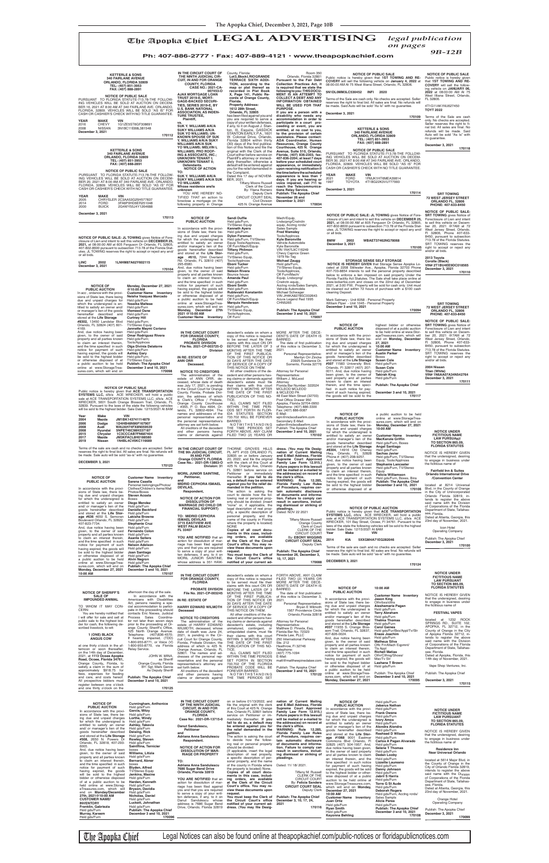# The Apopka Chief **LEGAL ADVERTISING** *legal publication*

*on pages*

*9B-12B* **Ph: 407-886-2777 • Fax: 407-889-4121 • www.theapopkachief.com**

## NOTICE IS HEREBY GIVEN that the undersigned, desiring<br>to engage in business under<br>the fictitious name of

### **IN THE CIRCUIT COURT FOR ORANGE COUNTY, FLORIDA PROBATE DIVISION File No. 2021-CP-003725-O Division IN RE: ESTATE OF ANN ORR Deceased. NOTICE TO CREDITORS** The administration of the estate of ANN ORR, de-ceased, whose date of death was July 17, 2021, is pending in the Circuit Court for Orange County, Florida, Probate Division, the address of which<br>
is Clerk's Office / Probate,<br>
Orange County Courthouse<br>
- #355, P. O. Box 4994, Or-<br>
lando, FL 32802-4994. The<br>
names and addresses of the personal representative and the personal representative's attorney are set forth below. All creditors of the decedent and other persons having claims or demands against decedent's estate on whom a<br>copy of this notice is required<br>claims with this court ON OR<br>BEFORE THE LATER OF 3<br>MONTHS AFTER THE TIME<br>OF THE FIRST PUBLICA-TION OF THIS NOTICE OR<br>30 DAYS AFTER THE DATE<br>OF SERVICE OF A COPY OF<br>THIS NOTICE ON THEM.<br>All other creditors of the dering claims or demands against<br>ing claims or demands against<br>their claims with this court<br>WITHIN 3 MONTHS AFTER<br>WITHIN 3 MONTHS AFTER<br>PUBLICATION OF THIS NO-TICE. ALL CLAIMS NOT FILED WITHIN THE TIME PERI-ODS SET FORTH IN FLOR-IDA STATUTES SECTION 733.702 WILL BE FOREVER BARRED.<br>NOTWITHSTANDING<br>THE TIME PERIODS SET<br>FORTH ABOVE, ANY CLAIM<br>FILED TWO (2) YEARS OR

Attorney for Personal Representative: William J. McLeod<br>Attorney

Orlando, FL 32824 (407) 601- 4169. And, due notice having been given, to the owner of said<br>property and all parties known<br>to claim an interest therein,<br>and the time specified in such<br>notice for payment of such<br>having expired, the goods will be sold to the highest bidder or otherwise disposed of at a public auction to be held online at www.StorageTrea-sures.com, which will end on TV/Stereo Equip **Jannette Maymi Coriano** Hsld gds/Furn **Omar Rodriguez Rivera**<br>Hsld gds/Furn;<br>Tools/Applnces **Olga Divinia Delatorre** Hsld gds/Furn **Ashley Gary** Hsld gds/Furn; TV/Stereo Equip **Publish: The Apopka Chief December 3 and 10, 2021 170098**

NOTICE OF PUBLIC SALE<br>Public notice is hereby given that ACE TRANSPORTATION<br>SYSTEMS LLC, d/b/a ACE WRECKER, will hold a public<br>sale at ACE TRANSPORTATION SYSTEMS LLC, d/b/a ACE<br>WRECKER, 5601 South Orange Blossom Trail, Orl

# **Customer Name Inventory<br>MacKenzie Griffin<br>Hsld gds/Furn, Boxes<br>Angel Santiago<br>Hsld gds/Furn Sachas Javier**

**NOTICE UNDER FICTITIOUS NAME LAW PURSUANT TO SECTION 865.09, FLORIDA STATUTES**

> **Fairfi eld Inn & Suites Orlando International Drive /Convention Center**

located at 8214 Universal

Blvd, in the County of Orange

goods hereinafter described<br>and stored at the **Life Storage**<br>#507 11583 University Blvd.<br>Orlando, Fl 32817 (407) 207-<br>0011. And, due notice having been given, to the owner of

said property and all parties<br>therein, and the time speci-<br>fied in such notice for pay-<br>ment of such having expired,<br>the goods will be sold to the

MORE AFTER THE DECE-DENT'S DATE OF DEATH IS BARRED.<br>The date of first publication of this notice is December 3,

2021.

the address(es) on record at<br>the clerk's office.<br>WARNING: Rule 12.285,<br>Florida Family Law Rules<br>of Procedure, requires cer-

Personal Representative: Marilyn Orr Zincke 23925 Sundance Dr. Sorrento, Florida 32776

Attorney Florida Bar Number: 322024 MCLEOD MCLEOD & MCLEOD PA 48 East Main Street (32703) Post Office Drawer 950<br>Apopka, Florida 32704-0950<br>Telephone: (407) 886-3300 Fax: (407) 886-0087 E-Mail:

**NOTICE OF PUBLIC AUCTION** In accordance with the provi-sions of State law, there be-

ing due and unpaid charges for which the undersigned is entitled to satisfy an owner and/or manager's lien of the goods hereinafter described and stored at the **Life Storage #8304,** 14916 Old Cheney Hwy, Orlando, FL 32828 Phone #: (407) 208-9257. And, due notice having been given, to the owner of said property and all parties known to claim an interest therein, and the time specified in such notice for payment of such having expired, the goods will be sold to the highest bidder or otherwise disposed of at

a public auction to be held online at www.StorageTrea-sures.com, which will end on **Monday, December 27, 2021 10:00 AM**

Hsld gds/Furn, TV/Stereo Equip, Tools/Applnces **Stephanie Lancaster** Hsld gds/Furn, TV/Stereo **Equip Felicia Williamson**  Hsld gds/Furn, Boxes, Bins **Publish: The Apopka Chief December 3 and 10, 2021 170106**

**SRT TOWING** gives Notice of Foreclosure of Lien and intent to sell this vehicle on Decem-ber 20, 2021 @7AM at 72

West Jersey Street, Orlando,<br>Fl 32806, Phone 407-633-<br>8450, pursuant to subsection<br>713.78 of the Florida Statutes.<br>SRT TOWING reserves the<br>right to accept or reject any

# and/or all bids.

**2004 Nissan Titan (White) VIN# 1N6AA07A34N542764 December 3, 2021**

**170111**

| <b>NOTICE OF</b><br><b>PUBLIC AUCTION</b> | <b>Cunningham, Anthonice</b><br>Hsld gds/Furn | OF THE NINTH JUDICIAL<br><b>CIRCUIT. IN AND FOR</b> | file the original with the clerk<br>of this Court at 425 N. Orange | and E-Mail Address, Florida<br>Supreme Court Approved | .<br><b>PUBLIC AUCTION</b><br>In accordance with the provi- | $1004$ yuuri unii<br><b>Jabarus Nathan</b><br>Hsld gds/Furn | <b>NOTICE UNDER</b>                                            |
|-------------------------------------------|-----------------------------------------------|-----------------------------------------------------|--------------------------------------------------------------------|-------------------------------------------------------|-------------------------------------------------------------|-------------------------------------------------------------|----------------------------------------------------------------|
| In accordance with the provi-             | Garcia, Mitzv                                 | <b>ORANGE COUNTY.</b>                               | Ave. Orlando FL 32801 before                                       | Family Law Form 12.915.)                              | sions of State law, there be-                               | <b>Frank Owens</b>                                          | <b>FICTITIOUS NAME</b>                                         |
| sions of State law, there be-             | Hsld gds/Furn                                 | <b>FLORIDA</b>                                      | service on Petitioner or im-                                       | Future papers in this lawsuit                         | ing due and unpaid charges                                  | Hsld gds/Furn                                               | <b>LAW PURSUANT</b>                                            |
| ing due and unpaid charges                | Lorthe, Windy                                 | Case No: 2021-DR-13715-0                            | mediately thereafter. If you                                       | will be mailed or e-mailed to                         | for which the undersigned is                                | Ivory Amos                                                  | <b>TO SECTION 865.09.</b>                                      |
| for which the undersigned is              | Hsld gds/Furn                                 |                                                     | fail to do so, a default may                                       | the address(es) on record at                          | entitled to satisfy an owner                                | Hsld gds/Furn                                               | <b>FLORIDA STATUTES</b>                                        |
| entitled to satisfy an owner              | Ashley, Takevia                               | Danut Sandulescu,                                   | be entered against you for                                         | the clerk's office.                                   | and/ or manager's lien of the                               | Alondra Alondra                                             |                                                                |
| and/ or manager's lien of the             | Hsld gds/Furn                                 | <b>Petitioner</b>                                   | the relief demanded in the                                         | WARNING: Rule 12,285.                                 | goods hereinafter described                                 | Hsld gds/Furn                                               | NOTICE IS HEREBY GIVEN                                         |
| goods hereinafter described               | Deising, Rick                                 | and                                                 | petition.                                                          | Florida Family Law Rules                              | and stored at the Life Stor-                                | <b>Rashaad D Wilson</b>                                     | that the undersigned, desiring                                 |
| and stored at the Life Storage            | Hsld gds/Furn                                 | Adriana Anna Sandulescu                             | The action is asking the court                                     | of Procedure, requires cer-                           | age #1068 9001 Eastmar                                      | Hsld ads/Furn                                               | to engage in business under                                    |
| #508, 2650 N. Powers Dr                   | Rowley, Steven                                | Respondent.                                         | to decide how the follow-                                          | tain automatic disclosure                             | Commons Blvd Orlando. Fl                                    | Carlos A Pagan Alvarado                                     | the fictitious name of                                         |
| Orlando, FL 32818, 407-293-               | Hsld ads/Furn                                 |                                                     | ing real or personal property                                      | of documents and informa-                             | 32825 (407) 504-1957. And,                                  | Hsld gds/Furn                                               |                                                                |
| 6005.                                     | Saintflina, Ternicier                         | <b>NOTICE OF ACTION FOR</b>                         | should be divided:                                                 | tion. Failure to comply can                           | due notice having been given,                               | <b>Selene T Thomas</b>                                      | <b>Residence Inn</b>                                           |
| And, due notice having been               | boxes                                         | <b>DISSOLUTION OF MAR-</b>                          | {If applicable, insert the legal                                   | result in sanctions, includ-                          | to the owner of said property                               | Hsld gds/Furn                                               | <b>Near Universal Orlando</b>                                  |
| given, to the owner of said               | Williams, Litizia                             | <b>RIAGE OR PROPERTY</b>                            | description of real property,                                      | ing dismissal or striking of                          | and all parties known to claim                              | Dedan Looby                                                 |                                                                |
| property and all parties known            | Hsld gds/Furn                                 |                                                     | a specific description of per-                                     | pleadings.                                            | an interest therein, and the                                | Hsld gds/Furn                                               | located at 5614 Major Blvd, in                                 |
| to claim an interest therein,             | <b>Bernard, Abner</b>                         | TO:                                                 | sonal property, and the name                                       |                                                       | time specified in such notice                               | Lizzette Laureano                                           | the County of Orange in the                                    |
| and the time specified in such            | boxes                                         | Adriana Anna Sandulescu                             | of the county in Florida where                                     | Dated: 11/ 18/ 2021.                                  | for payment of such having                                  | Hsld gds/Furn                                               | City of Orlando Florida 32819,                                 |
| notice for payment of such                | Blyden, Alfred                                | 7686 Sugar Bend Drive                               | the property is located} None.                                     |                                                       | expired, the goods will be sold                             | Danny Johnson                                               | intends to register the above                                  |
| having expired, the goods                 | <b>TV/Stereo Equip</b>                        | Orlando, Florida 32819                              | Copies of all court docu-                                          | Tiffany M. Russell                                    | to the highest bidder or other-                             | Hsld gds/Furn                                               | said name with the Division                                    |
| will be sold to the highest               | Jenkins, Maxine                               |                                                     | ments in this case, includ-                                        | CLERK OF THE                                          | wise disposed of at a public                                | <b>Jabril S Harris</b>                                      | of Corporations of the Florida                                 |
| bidder or otherwise disposed              | Hsld gds/Furn                                 | YOU ARE NOTIFIED that an                            | ing orders, are available                                          | <b>CIRCUIT COURT</b>                                  | auction to be held online at                                | Hsld gds/Furn                                               | Department of State, Tallahas-                                 |
| of at a public auction to be              | Harden, Kenneth                               | action for dissolution of mar-                      | at the Clerk of the Circuit                                        | By: Felicia Sanders                                   | www.StorageTreasures.com,                                   | <b>Torre G St Aude</b>                                      | see. Florida.                                                  |
| held online at www.Storag-                | Hsld gds/Furn                                 | riage has been filed against                        | Court's office. You may re-                                        | <b>CIRCUIT COURT SEAL</b>                             | which will end on <b>Monday</b> .                           | Hsld gds/Furn                                               |                                                                |
| eTreasures.com, which will                | Bryson, Davidia                               | you and that you are required                       | view these documents upon                                          | Deputy Clerk                                          | December 27, 2021                                           | <b>Deborah Rogers</b>                                       | Dated at Atlanta, Georgia, this<br>23rd day of November, 2021. |
| end on <b>Monday/December</b>             | Hsld gds/Furn                                 | to serve a copy of your writ-                       | reauest.                                                           |                                                       | 10:00 AM                                                    | Hsld gds/Furn, Acctng rcrds/                                |                                                                |
| 27th, 2021@10:00 AM                       | Nicholas, Daniel                              | ten defenses, if any, to it on                      | You must keep the Clerk of                                         | <b>Publish: The Apopka Chief</b>                      | <b>Customer Name Inventory</b>                              | Sales Sampls                                                |                                                                |
| <b>CUSTOMER NAME/</b>                     | Hsld gds/Furn                                 | Danut Sandulescu whose                              | the Circuit Court's office                                         | December 3, 10, 17, 24,                               | Juan Ortiz                                                  | Alicia Perea                                                | Orange Hotel<br><b>Operating Company</b>                       |
| <b>INVENTORY</b>                          | Luckett, Johnathan                            | address is 7686 Sugar Bend                          | notified of your current ad-                                       | 2021                                                  | Hsld gds/Furn                                               | Hsld gds/Furn                                               |                                                                |
| Franklin, Gabriezia                       | Hsld gds/Furn                                 | Drive, Orlando, Florida 32819                       | dress. (You may file Desig-                                        | 170116                                                | <b>Rvan Smith</b>                                           | <b>Publish: The Apopka Chief</b>                            | Publish: The Apopka Chief                                      |
| Hsld gds/Furn                             | <b>Publish: The Apopka Chief</b>              |                                                     |                                                                    |                                                       | Hsld gds/Furn                                               | December 3 and 10, 2021                                     |                                                                |
| Murray, Kareem                            | December 3 and 10, 2021                       |                                                     |                                                                    |                                                       | <b>Keyonna Behling</b>                                      | 170108                                                      | December 3, 2021<br>170099                                     |
| Hsld gds/Furn                             | 170096                                        |                                                     |                                                                    |                                                       |                                                             |                                                             |                                                                |

The Apopka Chief Legal Notices can also be found online at theapopkachief.com/public-notices or floridapublicnotices.com

wim@mcleodlawfirm.com Secondary E-Mail:<br>sallen@mcleodlawfirm.com<br>Publish: The Apopka Chief<br>**December 3 and 10, 2021 170102** dress. (You may file Desig-<br>nation of Current Mailing<br>and E-Mail Address, Florida<br>Supreme Court Approved<br>Family Law Form 12.915.) **Future papers in this lawsuit will be mailed or e-mailed to**  In accordance with the provi-sions of State law, there being due and unpaid charges for which the undersigned is entitled to satisfy an owner and/ or manager's lien of the to be held online at www.StorageTreasures.com, which will end on **Monday, December 27, 2021 10:00 AM Customer Name Inventory Austin Parker**

Boxes **Susan Cole** Hsld gds/Furn **Susan Cole** Hsld gds/Furn **Takirah King** Hsld gds/Furn

**Publish: The Apopka Chief 170117**

**December 3 and 10, 2021**

| <b>KETTERLE &amp; SONS</b><br><b>340 FAIRLANE AVENUE</b><br>ORLANDO, FLORIDA 32809<br>TEL: (407) 851-3953<br>FAX: (407) 888-2891<br><b>NOTICE OF PUBLIC SALE</b><br>PURSUANT TO FLORIDA STATUTE-713.78-THE FOLLOW-<br>ING VEHICLES WILL BE SOLD AT AUCTION ON DECEM-<br>BER 16, 2021 AT 8:00 AM AT 340 FAIRLANE AVE. ORLANDO,<br>FLORIDA, 32809. VEHICLES WILL BE SOLD "AS IS" FOR<br>CASH OR CASHIER'S CHECK WITH NO TITLE GUARANTEE.<br><b>YEAR</b><br><b>MAKE</b><br><b>VIN</b><br>2016<br><b>CHEVY</b><br>1G1ZE5ST6GF308691<br>2008<br><b>NISSAN</b><br>3N1BC11E88L381548<br>December 3, 2021<br>170112<br><b>KETTERLE &amp; SONS</b><br><b>340 FAIRLANE AVENUE</b><br>ORLANDO, FLORIDA 32809<br>TEL: (407) 851-3953<br>FAX: (407) 888-2891<br><b>NOTICE OF PUBLIC SALE</b><br>PURSUANT TO FLORIDA STATUTE-713.78-THE FOLLOW-<br>ING VEHICLES WILL BE SOLD AT AUCTION ON DECEM-<br>BER 20, 2021 AT 8:00 AM AT 340 FAIRLANE AVE. ORLANDO,<br>FLORIDA, 32809. VEHICLES WILL BE SOLD "AS IS" FOR<br>CASH OR CASHIER'S CHECK WITH NO TITLE GUARANTEE.<br><b>YEAR</b><br><b>MAKE</b><br><b>VIN</b><br>CHRYSLER 2C3AA53G25H577837<br>2005<br><b>FORD</b><br>2014<br>3FA6P0HD6ER251048 | IN THE CIRCUIT COURT OF<br>THE NINTH JUDICIAL CIR-<br><b>CUIT. IN AND FOR ORANGE</b><br><b>COUNTY, FLORIDA</b><br><b>CASE NO.: 2021-CA-</b><br>007453-O<br><b>AJAX MORTGAGE LOAN</b><br><b>TRUST 2019-E, MORT-</b><br><b>GAGE-BACKED SECURI-</b><br>TIES, SERIES 2019-E, BY<br><b>U.S. BANK NATIONAL</b><br><b>ASSOCIATION, AS INDEN-</b><br><b>TURE TRUSTEE,</b><br>Plaintiff.<br>VS.<br><b>SUK Y. WILLIAMS A/K/A</b><br><b>SUKY WILLIAMS A/K/A</b><br><b>SUK YO WILLIAMS: UN-</b><br><b>KNOWN SPOUSE OF SUK</b><br>Y. WILLIAMS A/K/A SUKY<br><b>WILLIAMS A/K/A SUK</b><br>YO WILLIAMS; MELVIN L<br><b>WILLIAMS; PRO ROOF-</b><br>ING & ASSOCIATE, INC.;<br><b>UNKNOWN TENANT I;</b><br><b>UNKNOWN TENANT II;</b><br>Defendants.<br><b>NOTICE OF ACTION</b><br>TO:<br><b>SUK Y. WILLIAMS A/K/A</b><br><b>SUKY WILLIAMS A/K/A SUK</b><br><b>YO WILLIAMS</b><br>Whose residence are/is<br>unknown<br>YOU ARE HEREBY NO-<br>TIFIED THAT an action to<br>foreclose a mortgage on the<br>following property in Orange | County, Florida:<br>Lot3. Block I. RIO GRANDE<br><b>TERRACE SIXTH ADDI-</b><br>TION, according to the<br>map or plat thereof as<br>recorded in Plat Book<br>X, Page 141, Public Re-<br>cords of Orange County,<br>Florida.<br><b>Property Address:</b><br>1612 28th Street,<br>Orlando, FL 32805<br>has been filed against you and<br>you are required to serve a<br>copy of your written defenses,<br>if any, to it on August J. Stan-<br>ton, III, Esquire, GASDICK<br>STANTON EARLY, P.A., 1601<br>W. Colonial Drive, Orlando,<br>Florida 32804 within thirty<br>(30) days of the first publica-<br>tion of this Notice and file the<br>original with the Clerk of the<br>Court either before service on<br>Plaintiff's attorney or immedi-<br>ately thereafter; otherwise a<br>default will be entered against<br>you for the relief demanded in<br>the Complaint.<br>Dated this 17 day of NOVEM-<br>BER, 2021.<br><b>Tiffany Moore Russell</b><br>Clerk of the Court<br>By: Yliana Romero<br>Deputy Clerk<br>CIRCUIT COURT SEAL<br><b>Civil Division</b><br>425 N. Orange Avenue | <b>Room 350</b><br>Orlando, Florida 32801<br>Pursuant to the Fair Debt<br>Collection Practices Act, it<br>is required that we state the<br>following to you: THIS DOCU-<br>MENT IS AN ATTEMPT TO<br><b>COLLECT A DEBT AND ANY</b><br><b>INFORMATION OBTAINED</b><br>WILL BE USED FOR THAT<br><b>PURPOSE.</b><br>If you are a person with a<br>disability who needs any<br>accommodation in order to<br>participate in a court pro-<br>ceeding or event, you are<br>entitled, at no cost to you,<br>to the provision of certain<br>assistance. Please contact:<br>ADA Coordinator, Human<br>Resources, Orange County<br>Courthouse, 425 N. Orange<br>Avenue, Suite 510, Orlando,<br>Florida, (407) 836-2303, fax:<br>407-836-2204; at least 7 days<br>before your scheduled court<br>appearance, or immediately<br>upon receiving notification if<br>the time before the scheduled<br>appearance is less than 7<br>days. If you are hearing or<br>voice impaired, call 711 to<br>reach the Telecommunica-<br>tions Relay Service.<br><b>Publish: The Apopka Chief</b><br>November 26 and<br>December 3, 2021<br>170034 | <b>NOTICE OF PUBLIC SALE</b><br>Public notice is hereby given that 1ST TOWING AND RE-<br>COVERY will sell the following vehicle on January 4, 2022 at<br>08:00:00 AM At 75 West Illiana Street, Orlando, FL 32806.<br>5N1DL0MM3LC530452 INFI 2020<br>Terms of the Sale are cash only. No checks are accepted. Seller<br>reserves the right to final bid. All sales are final. No refunds will<br>be made. Said Auto will be sold "As Is" with no quarantee.<br>December 3, 2021<br>170109<br><b>KETTERLE &amp; SONS</b><br><b>340 FAIRLANE AVENUE</b><br>ORLANDO, FLORIDA 32809<br>TEL: (407) 851-3953<br>FAX: (407) 888-2891<br><b>NOTICE OF PUBLIC SALE</b><br>PURSUANT TO FLORIDA STATUTE-713.78-THE FOLLOW-<br>ING VEHICLES WILL BE SOLD AT AUCTION ON DECEM-<br>BER 30, 2021 AT 8:00 AM AT 340 FAIRLANE AVE. ORLANDO,<br>FLORIDA, 32809, VEHICLES WILL BE SOLD "AS IS" FOR<br>CASH OR CASHIER'S CHECK WITH NO TITLE GUARANTEE.<br><b>YEAR</b><br><b>MAKE</b><br><b>VIN</b><br><b>FORD</b><br>1FMJK1HT6MEA39814<br>2021<br><b>TOYOTA</b><br>1997<br>4T1BG22K3VU777993<br>December 3, 2021<br>170114                                          | <b>NOTICE OF PUBLIC SALE</b><br>Public notice is hereby given<br>that 1ST TOWING AND RE-<br><b>COVERY</b> will sell the follow-<br>ing vehicle on JANUARY 06.<br>2022 at 08:00:00 AM At 75<br>West Illiana Street, Orlando,<br>FL 32806.<br>4T1G11AK1NU627450<br><b>TOYT 2022</b><br>Terms of the Sale are cash<br>only. No checks are accepted.<br>Seller reserves the right to fi-<br>nal bid. All sales are final. No<br>refunds will be made. Said<br>Auto will be sold "As Is" with<br>no quarantee.<br>December 3, 2021<br>170118<br><b>SRT TOWING</b><br><b>72 WEST JERSEY STREET</b><br>ORLANDO FL. 32806<br>PHONE: 407-633-8450 |
|-------------------------------------------------------------------------------------------------------------------------------------------------------------------------------------------------------------------------------------------------------------------------------------------------------------------------------------------------------------------------------------------------------------------------------------------------------------------------------------------------------------------------------------------------------------------------------------------------------------------------------------------------------------------------------------------------------------------------------------------------------------------------------------------------------------------------------------------------------------------------------------------------------------------------------------------------------------------------------------------------------------------------------------------------------------------------------------------------------------------------------------------------------------------------------------|-------------------------------------------------------------------------------------------------------------------------------------------------------------------------------------------------------------------------------------------------------------------------------------------------------------------------------------------------------------------------------------------------------------------------------------------------------------------------------------------------------------------------------------------------------------------------------------------------------------------------------------------------------------------------------------------------------------------------------------------------------------------------------------------------------------------------------------------------------------------------------------------------------------------------------------------------------------------------------------------------------------------|---------------------------------------------------------------------------------------------------------------------------------------------------------------------------------------------------------------------------------------------------------------------------------------------------------------------------------------------------------------------------------------------------------------------------------------------------------------------------------------------------------------------------------------------------------------------------------------------------------------------------------------------------------------------------------------------------------------------------------------------------------------------------------------------------------------------------------------------------------------------------------------------------------------------------------------------------------------------------------------------------------------------------------------------------------------------------------------|-----------------------------------------------------------------------------------------------------------------------------------------------------------------------------------------------------------------------------------------------------------------------------------------------------------------------------------------------------------------------------------------------------------------------------------------------------------------------------------------------------------------------------------------------------------------------------------------------------------------------------------------------------------------------------------------------------------------------------------------------------------------------------------------------------------------------------------------------------------------------------------------------------------------------------------------------------------------------------------------------------------------------------------------------------------------------------------------------------------------------|--------------------------------------------------------------------------------------------------------------------------------------------------------------------------------------------------------------------------------------------------------------------------------------------------------------------------------------------------------------------------------------------------------------------------------------------------------------------------------------------------------------------------------------------------------------------------------------------------------------------------------------------------------------------------------------------------------------------------------------------------------------------------------------------------------------------------------------------------------------------------------------------------------------------------------------------------------------------------------------------------------------------------------------------------------------------------------------------------------------------------------------------------|------------------------------------------------------------------------------------------------------------------------------------------------------------------------------------------------------------------------------------------------------------------------------------------------------------------------------------------------------------------------------------------------------------------------------------------------------------------------------------------------------------------------------------------------------------------------------------------------------------------------------------------|
| 2000<br><b>BUICK</b><br>2G4WY55J4Y1264688<br>December 3, 2021<br>170113<br>NOTICE OF PUBLIC SALE: JL TOWING gives Notice of Fore-<br>closure of Lien and intent to sell this vehicle on DECEMBER 25,<br>2021, at 08:00:00 AM at 605 Ferguson Dr Orlando, FL 32805,<br>407-802-8600 pursuant to subsection 713.78 of the Florida Stat-<br>utes. JL TOWING reserves the right to accept or reject any and/<br>or all bids.<br><b>LINC</b><br>2002<br>1LNHM87A62Y602115<br>December 3, 2021<br>170104<br><b>NOTICE OF</b><br>Monday, December 27, 2021<br><b>PUBLIC AUCTION</b><br>@10:00 AM<br>In acc, ordance with the provi-<br><b>Customer Name Inventory</b><br>sions of State law, there being<br>Neisha Vazquez Mercado<br>due and unpaid charges for<br>Hsld gds/Furn<br>Yessika Maltese<br>which the undersigned is en-<br>titled to satisfy an owner and/<br>Hsld gds/Furn<br>or manager's lien of the goods<br><b>Vlemeed Osne</b><br>hereinafter described and<br>Hsld gds/Furn<br>stored at the Life Storage<br><b>Curtney Hill</b><br>#8302, 13450 Landstar Blvd<br>Hsld gds/Furn;                                                                                       | <b>NOTICE OF</b><br><b>PUBLIC AUCTION</b><br>In accordance with the provi-<br>sions of State law, there be-<br>ing due and unpaid charges<br>for which the undersigned is<br>entitled to satisfy an owner<br>and/or manager's lien of the<br>goods hereinafter described<br>and stored at the Life Stor-<br>age #610, 7244 Overland<br>Rd. Orlando, FL 32810 (407)<br>295-6580.<br>And, due notice having been<br>given, to the owner of said<br>property and all parties known<br>to claim an interest therein,<br>and the time specified in such<br>notice for payment of such<br>having expired, the goods will<br>be sold to the highest bidder<br>or otherwise disposed of at<br>a public auction to be held<br>online at www.StorageTrea-<br>sures.com, which will end on<br>Monday, December 27th<br>2021 @10:00 AM<br><b>Customer Name Inventory</b>                                                                                                                                                      | <b>Sandi Duffie</b><br>Hsld gds/Furn,<br>TV/Stereo Equip<br><b>Kenneth Ayers</b><br>Hsld gds/Furn<br><b>Dylon Foreman</b><br>Hsld gds/Furn, TV/Stereo<br>Equip Tools/AppInces,<br>Off Furn/Mach/Equip<br><b>Tiffany Philmon</b><br>Hsld gds/Furn,<br>TV/Stereo Equip,<br><b>Tools/AppInces</b><br>Eboni Tucker<br>Hsld gds/Furn<br><b>Nelson Rivera</b><br>Bounce house<br>Amanda Paul<br>Hsld gds/Furn<br>Eboni Smith<br>Hsld gds/Furn<br>Rublevskii Konstantin<br>Hsld qds/Furn,<br>Off Furn/Mach/Equip<br><b>Marquis Henderson</b><br>Hsld gds/Furn,<br>TV/Stereo Equip,<br>Tools/AppInces,<br>Off Furn/                                                                                                                                                                                                                                                                                                                                                                                                                                                                           | Mach/Equip,<br>Lndscpng/Cnstrctn<br>equip, Acctng rcrds/<br>Sales Sampls<br><b>Fred Wamsley</b><br>Tools/AppInces<br><b>Kyle Baronville</b><br>Vehicle Automobile<br>Kyle Baronville<br>VIN 1N47L9C116249<br>Chevy Caprice Green<br>1979 No Tag<br><b>Michael Zaugg</b><br>Hsld gds/Furn,<br>TV/Stereo Equip,<br>Tools/AppInces,<br>Off Furn/Mach/<br>Equip, Lndscpng/<br>Cnstrctn equip,,<br>Acctng rcrds/Sales Sampls,<br>Vehicle Automobile<br>Michael Schwager<br>VIN JH4KA8278SC002643<br>Acura Legend Red 1995<br>CHN5265<br>Publish: The Apopka Chief<br>December 3 and 10, 2021<br>170097                                                                                                                                                                                                                                                                                                                                                                                                                                                                                                                     | NOTICE OF PUBLIC SALE: JL TOWING gives Notice of Fore-<br>closure of Lien and intent to sell this vehicle on DECEMBER 25.<br>2021, at 08:00:00 AM at 605 Ferguson Dr Orlando, FL 32805,<br>407-802-8600 pursuant to subsection 713.78 of the Florida Stat-<br>utes. JL TOWING reserves the right to accept or reject any and/<br>or all bids.<br><b>BMW</b><br>2002<br>WBAET37462NG78068<br>December 3, 2021<br>170105<br><b>STORAGE SENSE SELF STORAGE</b><br>NOTICE IS HEREBY GIVEN that Storage Sense Apopka Lo-<br>cated at 2208 Stillwater Ave., Apopka, Florida 32703 Phone<br>407-703-8854 intends to sell the personal property described<br>below to enforce a lien imposed on said property Under the<br>Florida Facility Act Statutes. The Sale shall take place online at<br>www.lockerfox.com and closes on the 22nd day of December<br>2021, at 3:00 P.M Property will be sold for cash only. Unit must<br>be cleaned out within 72 hours of purchase with a \$100 cash<br>cleaning Deposit.<br>Mark Satmary - Unit 6058 - Personal Property<br>William Piper - Unit 1045 - Personal Property<br>December 3 and 10, 2021<br>170094 | <b>NOTICE OF PUBLIC SALE:</b><br><b>SRT TOWING gives Notice of</b><br>Foreclosure of Lien and intent<br>to sell this vehicle on Decem-<br>ber 20, 2021 @7AM at 72<br>West Jersey Street, Orlando,<br>FI 32806, Phone 407-633-<br>8450, pursuant to subsection<br>713.78 of the Florida Statutes.<br>SRT TOWING reserves the<br>right to accept or reject any<br>and/or all bids.<br>2013 Tovota<br>Corolla (Black)<br>VIN# 2T1BU4EE9DC018565<br>December 3, 2021<br>170110<br><b>SRT TOWING</b><br><b>72 WEST JERSEY STREET</b><br>ORLANDO FL, 32806<br>PHONE: 407-633-8450<br><b>NOTICE OF PUBLIC SALE:</b>                             |
| Orlando, FL 32824 (407) 601-<br><b>TV/Stereo Equip</b><br>Jannette Maymi Coriano<br>4169.                                                                                                                                                                                                                                                                                                                                                                                                                                                                                                                                                                                                                                                                                                                                                                                                                                                                                                                                                                                                                                                                                           |                                                                                                                                                                                                                                                                                                                                                                                                                                                                                                                                                                                                                                                                                                                                                                                                                                                                                                                                                                                                                   |                                                                                                                                                                                                                                                                                                                                                                                                                                                                                                                                                                                                                                                                                                                                                                                                                                                                                                                                                                                                                                                                                       |                                                                                                                                                                                                                                                                                                                                                                                                                                                                                                                                                                                                                                                                                                                                                                                                                                                                                                                                                                                                                                                                                                                       | <b>NOTICE OF</b><br>highest bidder or otherwise<br><b>PUBLIC AUCTION</b><br>disposed of at a public auction                                                                                                                                                                                                                                                                                                                                                                                                                                                                                                                                                                                                                                                                                                                                                                                                                                                                                                                                                                                                                                      | <b>SRT TOWING</b> gives Notice of<br>Foreclosure of Lien and intent                                                                                                                                                                                                                                                                                                                                                                                                                                                                                                                                                                      |

| In accordance with the provi-                                | Clothes/Children's items/Wall                             | <b>DEVILAS,</b><br>Respondent,                      | manded in the petition.<br>The action is asking the           | or Procedure, requires cer-<br>tain automatic disclosure | or otherwise disposed of at                                  |                                                                                                                | 170106 Blvd, in the County of Orange                          |
|--------------------------------------------------------------|-----------------------------------------------------------|-----------------------------------------------------|---------------------------------------------------------------|----------------------------------------------------------|--------------------------------------------------------------|----------------------------------------------------------------------------------------------------------------|---------------------------------------------------------------|
| sions of State law, there be-                                | Photos/Boxes<br><b>Steven Acosta</b>                      |                                                     | court to decide how the fol-                                  | of documents and informa-                                |                                                              |                                                                                                                | in the City of Unincorporated                                 |
| ing due and unpaid charges<br>for which the undersigned is   | Boxes                                                     | <b>NOTICE OF ACTION FOR</b>                         | lowing real or personal prop-                                 | tion. Failure to comply can                              |                                                              |                                                                                                                | Orlando Florida 32819, in-                                    |
| entitled to satisfy an owner                                 | Diego Mendez                                              | <b>DISSOLUTION OF</b>                               | erty should be divided: (insert                               | result in sanctions, includ-                             |                                                              |                                                                                                                | tends to register the above<br>said name with the Division    |
| and/ or manager's lien of the                                | Hsld gds/Furn                                             | <b>MARRIAGE (NO CHILD OR</b>                        | "none" or, if applicable, the                                 | ing dismissal or striking of                             |                                                              |                                                                                                                | of Corporations of the Florida                                |
| goods hereinafter described                                  | <b>Danielle Beckford</b>                                  | <b>FINANCIAL SUPPORT)</b>                           | legal description of real prop-                               | pleadings.                                               |                                                              | <b>NOTICE OF PUBLIC AUCTION</b>                                                                                | Department of State, Tallahas-                                |
| and stored at the Life Stor-                                 | Hsld gds/Furn                                             |                                                     | erty, a specific description of                               | Dated: NOV 22 2021                                       |                                                              | Public notice is hereby given that ACE TRANSPORTATION                                                          | see, Florida.                                                 |
| age #636 4650 S. Semoran                                     | Lakisha Browne                                            | <b>TO: MIDRID CEPHORA</b>                           | personal property, and the                                    |                                                          |                                                              | <b>SYSTEMS LLC, d/b/a</b> ACE WRECKER, will hold a public                                                      | Dated at Atlanta, Georgia, this                               |
| Boulevard Orlando, FL 32822,                                 | Hsld gds/Furn                                             | <b>ISMAEL DEVILAS</b>                               | name of the county in Florida                                 | <b>Tiffany Moore Russell</b>                             |                                                              | sale at ACE TRANSPORTATION SYSTEMS LLC, d/b/a ACE<br>WRECKER, 101 Bay Street, Ocoee, FI 34761. Pursuant to the | 23rd day of November, 2021.                                   |
| 407-823-7734                                                 | <b>Stephanie Cruz</b>                                     | 3715 EASTVIEW AVE                                   | where the property is located)                                | Orange County                                            |                                                              | laws of the state the following vehicles will be sold to the highest                                           |                                                               |
| And, due notice having been                                  | Hsld gds/Furn                                             | <b>WEST PALM BEACH</b>                              | <b>NONE</b>                                                   | Clerk of Court                                           | bidder. Sale Date: 12/15/2021 At 8AM                         |                                                                                                                | <b>Icon Hotel</b>                                             |
| given, to the owner of said                                  | <b>Fernando Colon</b>                                     | FL 33407                                            | Copies of all court docu-<br>ments in this case, includ-      | <b>CLERK OF THE</b><br><b>CIRCUIT COURT</b>              | Make<br>Year                                                 | <b>VIN</b>                                                                                                     | <b>Operating Company</b>                                      |
| property and all parties known                               | Hsld gds/Furn                                             | YOU ARE NOTIFIED that an                            | ing orders, are available                                     | <b>By: EBONY WIGGINS</b>                                 |                                                              |                                                                                                                |                                                               |
| to claim an interest therein,                                | <b>Asante Sellers</b>                                     | action for dissolution of mar-                      | at the Clerk of the Circuit                                   | <b>CIRCUIT COURT SEAL</b>                                | 2014<br><b>KIA</b>                                           | 5XXGM4A71EG282046                                                                                              | Publish: The Apopka Chief                                     |
| and the time specified in such                               | Hsld gds/Furn<br><b>Nelson Adelson</b>                    | riage has been filed against                        | Court's office. You may re-                                   | Deputy Clerk                                             |                                                              |                                                                                                                | December 3, 2021                                              |
| notice for payment of such<br>having expired, the goods will | Hsld gds/Furn                                             | you and that you are required                       | view these documents upon                                     |                                                          |                                                              | Terms of the sale are cash and no checks are accepted. Seller                                                  | 170100                                                        |
| be sold to the highest bidder                                | Joan Santiago                                             | to serve a copy of your writ-                       | request.                                                      | <b>Publish: The Apopka Chief</b>                         |                                                              | reserves the right to final bid. All sales are final. No refunds will                                          |                                                               |
| or otherwise disposed of at                                  | Hsld gds/Furn                                             | ten defenses, if any, to it on                      | You must keep the Clerk of                                    | November 26, December 3,                                 | be made. Sale auto will be sold "as-is" with no quarantee.   |                                                                                                                |                                                               |
| a public auction to be held                                  | <b>Alvin Negron</b>                                       | MORIL JUNIOR SAINTINE,                              | the Circuit Court's office                                    | 10.17.2021                                               |                                                              |                                                                                                                |                                                               |
| online at www.StorageTrea-                                   | Hsld gds/Furn                                             | whose address is 351 HAW-                           | notified of your current ad-                                  | 170088                                                   | DECEMBER 3, 2021                                             |                                                                                                                |                                                               |
| sures.com, which will end on                                 | <b>Publish: The Apopka Chief</b>                          |                                                     |                                                               |                                                          |                                                              | 170124                                                                                                         |                                                               |
| Monday, December 27, 2021                                    | December 3 and 10, 2021                                   |                                                     |                                                               |                                                          |                                                              |                                                                                                                |                                                               |
| 10:00 AM                                                     | 170107                                                    | IN THE CIRCUIT COURT                                | decedent's estate on whom a                                   | FORTH ABOVE, ANY CLAIM                                   |                                                              |                                                                                                                | <b>NOTICE UNDER</b>                                           |
|                                                              |                                                           | <b>FOR ORANGE COUNTY.</b>                           | copy of this notice is required                               | FILED TWO (2) YEARS OR                                   |                                                              |                                                                                                                | <b>FICTITIOUS NAME</b>                                        |
|                                                              |                                                           | <b>FLORIDA</b>                                      | to be served must file their                                  | MORE AFTER THE DECE-                                     |                                                              |                                                                                                                | <b>LAW PURSUANT</b>                                           |
|                                                              |                                                           |                                                     | claims with this court ON OR                                  | DENT'S DATE OF DEATH IS                                  |                                                              |                                                                                                                | <b>TO SECTION 865.09,</b>                                     |
|                                                              |                                                           | <b>PROBATE DIVISION</b>                             | BEFORE THE LATER OF 3                                         | BARRED.                                                  | <b>NOTICE OF</b>                                             | 10:00 AM                                                                                                       | <b>FLORIDA STATUTES</b>                                       |
| <b>NOTICE OF SHERIFF'S</b>                                   | afternoon the day of the sale.                            | File No. 2021-CP-003245                             | MONTHS AFTER THE TIME                                         | The date of first publication                            | <b>PUBLIC AUCTION</b>                                        |                                                                                                                |                                                               |
| <b>SALE OF</b>                                               | In accordance with the                                    |                                                     | OF THE FIRST PUBLICA-                                         | of this notice is December 3,                            |                                                              | <b>Customer Name Inventory</b>                                                                                 | NOTICE IS HEREBY GIVEN                                        |
| <b>IMPOUNDED ANIMAL</b>                                      | Americans with Disabilities                               | IN RE: ESTATE OF                                    | TION OF THIS NOTICE OR                                        | 2021.                                                    | In accordance with the provi-                                | <b>Jason King</b>                                                                                              | that the undersigned, desiring<br>to engage in business under |
|                                                              | Act, persons needing a spe-                               |                                                     | 30 DAYS AFTER THE DATE                                        | Personal Representative:                                 | sions of State law, there be-                                | Othr/bxs/clths                                                                                                 | the fictitious name of                                        |
| TO WHOM IT MAY CON-                                          | cial accommodation to partici-                            | <b>HARRY EDWARD WILMOTH</b>                         | OF SERVICE OF A COPY OF                                       | Bryan E Wilmoth                                          | ing due and unpaid charges<br>for which the undersigned is   | Aieshamarie Pagan<br>Hsld gds/Furn                                                                             |                                                               |
| CERN:<br>You are hereby notified that                        | pate in this proceeding should                            | Deceased                                            | THIS NOTICE ON THEM.                                          | 1567 Providence Circle                                   | entitled to satisfy an owner                                 | <b>Terry Abraham</b>                                                                                           | <b>FESTIVAL VAPES</b>                                         |
| I will offer for sale and sell at                            | contacts Eric Nieves, Judicial<br>Process Sales Coordina- |                                                     | All other creditors of the de-                                | Orlando, Florida 32818                                   | and/or manager's lien of the                                 | Hsld ads/Furn                                                                                                  |                                                               |
| public sale to the highest bid-                              | tor not later than seven days                             | <b>NOTICE TO CREDITORS</b>                          | cedent and other persons hav-                                 |                                                          | goods hereinafter described                                  | <b>Thelma Thomas</b>                                                                                           | located at 1232 ROCK                                          |
| der for cash, the following de-                              | prior to the proceeding at Or-                            | The administration of the<br>estate of HARRY EDWARD | ing claims or demands against<br>decedent's estate, including | Attorney for Personal<br>Representative:                 | and stored at the Life Storage                               | Hsld gds/Furn                                                                                                  | SPRINGS RD., SUITE 102,                                       |
| scribed livestock, to-wit:                                   | ange County Sheriff's Office,                             | WILMOTH, deceased, whose                            | unmatured, contingent, or                                     | Matthew D. Pineda, Esg.                                  | #037 11955 S. Orange Blos-                                   | <b>Carol Gaines</b>                                                                                            | APOPKA, FL 32712, in the                                      |
|                                                              | 425 North Orange Avenue.                                  | date of death was June 24,                          | unliquidated claims, must file                                | Florida Bar No. 72323                                    | som Trail, Orlando, FL 32837,                                | Hsld qds/Fur/Bxs/Appl/Tv/Str                                                                                   | County of Orange in the City                                  |
| 1 (ONE) BLACK                                                | (407)836-4570;<br>Telephone:                              | 2021, is pending in the Cir-                        | their claims with this court                                  | Pineda Law, PLLC                                         | 407-826-0024.                                                | Eneze Joachim                                                                                                  | of Apopka Florida 32712, in-                                  |
| <b>ANGUS COW</b>                                             | If hearing impaired, (TDD)                                | cuit Court for Orange County,                       | WITHIN 3 MONTHS AFTER                                         | 250 International Parkway                                | And, due notice having been                                  | Hsld gds/Furn                                                                                                  | tends to register the above                                   |
|                                                              | 1-800-955-8771, or Voice (V)                              | Florida. Probate Division, the                      | THE DATE OF THE FIRST                                         | Ste. 212                                                 | given, to the owner of said                                  | <b>Matheus Silva</b>                                                                                           | said name with the Division                                   |
| at one thirty o'clock in the af-                             | 1-800-955-8770, via Florida                               | address of which is 425 N.                          | PUBLICATION OF THIS NO-                                       | Heathrow, FI 32746                                       | property and all parties known                               | Offc Frn/Mach Egpmnt/                                                                                          | of Corporations of the Florida                                |
| ternoon or soon thereafter,                                  | Relay Service.                                            | Orange Avenue, Orlando, FL                          | TICE.                                                         | Telephone:                                               | to claim an interest therein.                                | TIs Appl                                                                                                       | Department of State, Tallahas-                                |
| on the 14th day of December.                                 |                                                           | 32801. The names and ad-                            | ALL CLAIMS NOT FILED                                          | (407) 775-1094                                           | and the time specified in such                               | <b>Richell Matias</b>                                                                                          | see, Florida.                                                 |
| 2021, at 1113 Ocoee Apopka                                   | JOHN W. MINA,                                             | dresses of the personal rep-                        | WITHIN THE TIME PERIODS                                       | E-Mail:                                                  | notice for payment of such                                   | Othr/Clthng/Shoes/                                                                                             | Dated at Apopka, Florida, this                                |
| Road, Ocoee, Florida 34761,                                  | as Sheriff                                                | resentative and the personal                        | SET FORTH IN SECTION                                          | matt@matthewpinedalaw.com                                | having expired, the goods will                               | Msc/Tv Str                                                                                                     | 14th day of November, 2021.                                   |
| Orange County, Florida, to                                   | Orange County, Florida                                    | representative's attorney are                       | 733.702 OF THE FLORIDA                                        |                                                          | be sold to the highest bidder<br>or otherwise disposed of at | Lashana T Brown<br>Hsld gds/Furn                                                                               | Vape Shop Ventures, Inc.                                      |
| satisfy a claim in the sum of                                | BY: Sqt. Mark Garcia                                      | set forth below.                                    | PROBATE CODE WILL BE                                          | Publish: The Apopka Chief                                | a public auction to be held                                  |                                                                                                                |                                                               |
| approximately \$918.75 for                                   | As Deputy Sheriff                                         | All creditors of the decedent                       | <b>FOREVER BARRED.</b>                                        | December 3 and 10, 2021                                  | online at www.StorageTrea-                                   | Publish: The Apopka Chief                                                                                      | Publish: The Apopka Chief                                     |
| fees, expenses for feeding<br>and care, and costs hereof.    | <b>Publish: The Apopka Chief</b>                          | and other persons having                            | NOTWITHSTANDING                                               | 170122                                                   | sures.com, which will end on                                 | December 3 and 10, 2021                                                                                        |                                                               |
| All prospective bidders must                                 | December 3 and 10, 2021                                   | claims or demands against                           | THE TIME PERIODS SET                                          |                                                          | Monday, December 27, 2021                                    | 170095                                                                                                         | December 3, 2021                                              |
| register between one o'clock                                 |                                                           |                                                     |                                                               |                                                          |                                                              |                                                                                                                | 170115                                                        |
| and one thirty o'clock on the                                | 170125                                                    |                                                     |                                                               |                                                          |                                                              |                                                                                                                |                                                               |
|                                                              |                                                           |                                                     |                                                               |                                                          |                                                              |                                                                                                                |                                                               |
|                                                              |                                                           |                                                     |                                                               |                                                          |                                                              |                                                                                                                |                                                               |
|                                                              |                                                           |                                                     |                                                               |                                                          |                                                              |                                                                                                                |                                                               |
| NOTICE OF                                                    | Cunningham Anthonica                                      | IN THE CIRCUIT COURT                                |                                                               | on or before 01/13/2022, and nation of Current Mailing   | <b>NOTICE OF</b>                                             | Hsld gds/Furn                                                                                                  |                                                               |

**IN THE CIRCUIT COURT OF THE 9th JUDICIAL CIRCUIT, IN AND FOR Orange COUNTY, FLORIDA Case No.: 2021-DR-13863-O Division: 31 MORIL JUNIOR SAINTINE, Petitioner, and MIDRID CEPHORA ISMAEL DEVILAS,** THORNE GROVES HILLS<br>PL APT #103 ORLANDO FL<br>32835 on or before January<br>20, 2022, and file the original<br>with the clerk of this Court at 425 N. Orange Ave, Orlando FL 32801 before service on Petitioner or immediately thereafter. **If you fail to do** so, a default may be entered against you for the relief de-<br>**against you for the relief de-**<br>**manded in the petition. 170123**

| Year | Make     | <b>VIN</b>        |  |
|------|----------|-------------------|--|
| 2004 | Mazda    | JM1BK143741114879 |  |
| 2006 | Dodge    | 1D4HB48N96F167907 |  |
| 2008 | Audi     | WAUAH74FX8N059539 |  |
| 2008 | Hvundai  | 5NPET46C98H337187 |  |
| 2015 | Chrysler | 1C3CCCAB7FN687404 |  |
| 2017 | Mazda    | JM3KFACL8H0188580 |  |
| 2019 | Nissan   | 1N4BL4CV0KC116689 |  |
|      |          |                   |  |

Terms of the sale are cash and no checks are accepted. Seller reserves the right to final bid. All sales are final. No refunds will<br>be made. Sale auto will be sold "as-is" with no guarantee. **DECEMBER 3, 2021**

### **NOTICE OF PUBLIC AUCTION Customer Name Inventory Sarena Casella**

Personal belongings/Photos/ Clothes/Children's items/Wall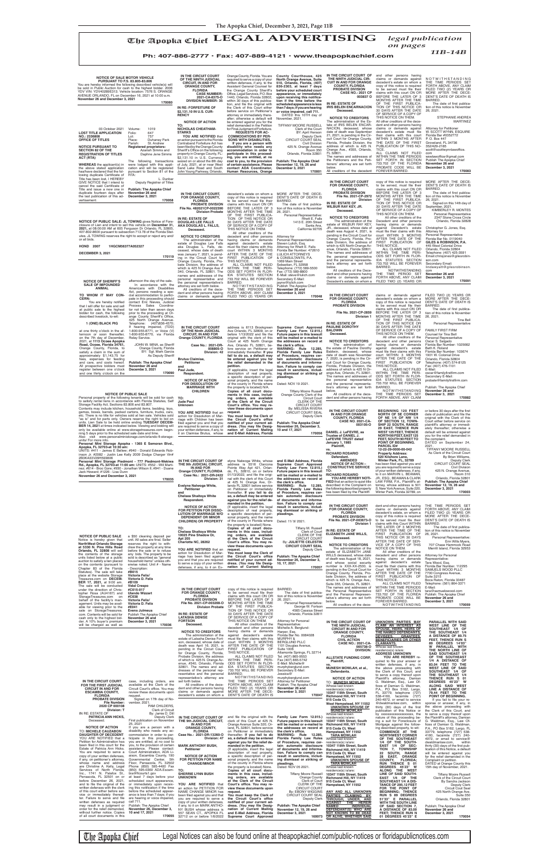|                                                                     |                                                                     | Petitioner<br>and                                                | on Petitioner or immediately<br>thereafter. If you fail to do                            | Florida Family Law Rules<br>of Procedure, requires cer-                     | the following described property<br>has been filed by the Plaintiff: | S. New York Avenue, Suite 220,<br>Winter Park, Florida 32789, on | December 3, 2021<br>170003                                               |
|---------------------------------------------------------------------|---------------------------------------------------------------------|------------------------------------------------------------------|------------------------------------------------------------------------------------------|-----------------------------------------------------------------------------|----------------------------------------------------------------------|------------------------------------------------------------------|--------------------------------------------------------------------------|
|                                                                     |                                                                     | <b>Chelsea Shaitoya White</b><br>Respondent.                     | so, a default may be entered<br>against you for the relief de-                           | tain automatic disclosure<br>of documents and informa-                      |                                                                      |                                                                  |                                                                          |
|                                                                     |                                                                     |                                                                  | manded in the petition.                                                                  | tion. Failure to comply can                                                 |                                                                      | dent and other persons having                                    | THE TIME PERIODS SET                                                     |
|                                                                     |                                                                     | <b>NOTICE OF ACTION</b><br>FOR PETITION FOR DISSO-               | {If applicable, insert the legal<br>description of real property,                        | result in sanctions, includ-<br>ing dismissal or striking of                | IN THE CIRCUIT COURT<br><b>FOR ORANGE COUNTY,</b>                    | claims or demands against                                        | FORTH ABOVE, ANY CLAIM                                                   |
|                                                                     |                                                                     | <b>LUTION OF MARRIAGE W/O</b><br><b>DEPENDENT OR MINOR</b>       | a specific description of per-<br>sonal property, and the name                           | pleadings.                                                                  | <b>FLORIDA</b><br><b>PROBATE DIVISION</b>                            | decedent's estate, on whom a<br>copy of this notice is required  | FILED TWO (2) YEARS OR<br>MORE AFTER THE DECE-                           |
|                                                                     |                                                                     | <b>CHILDREN) OR PROPERTY</b>                                     | of the county in Florida where                                                           | Dated: 11/ 9/ 2021                                                          | File No. 2021-CP-003673-O                                            | to be served must file their                                     | DENT'S DATE OF DEATH IS<br>BARRED.                                       |
|                                                                     |                                                                     | TO:                                                              | the property is located None.<br>Copies of all court docu-                               | Tiffany M. Russell                                                          | Division 1                                                           | claims with this Court WITHIN<br>THE LATER OF 3 MONTHS           | The date of first publica-                                               |
|                                                                     |                                                                     | <b>Chelsea Shaitoya White</b><br>10025 Pine Shadow Dr.           | ments in this case, includ-                                                              | Clerk of Court<br>CLERK OF THE                                              | IN RE: ESTATE OF<br><b>ELIZABETH JANE WILLS,</b>                     | AFTER THE TIME OF THE<br>FIRST PUBLICATION OF                    | tion of this notice is November<br>26, 2021.                             |
| <b>NOTICE OF PUBLIC SALE</b><br>Notice is hereby given that         | a \$50 cleaning deposit per<br>unit. All sales are final. Seller    | Apt 205                                                          | ing orders, are available<br>at the Clerk of the Circuit                                 | <b>CIRCUIT COURT</b>                                                        | Deceased.                                                            | THIS NOTICE OR 30 DAYS                                           | Personal Representative:                                                 |
| <b>NorthWest Orlando Storage</b>                                    | reserves the right to with-<br>draw the property at any time        | Charlotte NC, 28262                                              | Court's office. You may re-<br>view these documents upon                                 | By: JULIETTE CELESTIN<br><b>CIRCUIT COURT SEAL</b>                          | <b>NOTICE TO CREDITORS</b>                                           | AFTER THE DATE OF SER-<br>VICE OF A COPY OF THIS                 | Erin Wills Myers,<br>707 Chase Hammock Road                              |
| at 5330 N. Pine Hills Road<br>Orlando, FL 32808 will sell           | before the sale or to refuse                                        | YOU ARE NOTIFIED that an                                         | request.                                                                                 | Deputy Clerk                                                                | The administration of the<br>estate of ELIZABETH JANE                | NOTICE ON THEM.<br>All other creditors of the                    | Merritt Island, Florida 32953                                            |
| the contents of the storage<br>units listed below at a public       | any bids. The property to be<br>sold is described as "general       | action for Dissolution of Mar-<br>riage has been filed against   | You must keep the Clerk of<br>the Circuit Court's office                                 | <b>Publish: The Apopka Chief</b>                                            | WILLS deceased, whose date                                           | decedent and other persons                                       | Attorney for Personal                                                    |
| auction to satisfy a lien placed                                    | household items" unless oth-                                        | you and that you are required<br>to serve a copy of your written | notified of your current ad-<br>dress. (You may file Desig-                              | November 26, December 3,<br>10, 17, 2021                                    | of death was August 18, 2021,<br>and whose social security           | having claims or demands<br>against decedent's estate            | Representative:<br>Tara Wood, Esq.                                       |
| on the contents (pursuant to<br>Chapter 83 of the Florida           | erwise noted. Unit # - Name<br>- Description:                       | defenses, if any, to it on Ev-                                   | nation of Current Mailing                                                                | 170057                                                                      | number is XXX-XX-2530, is<br>pending in the Circuit Court for        | must file their claims with this<br>Court WITHIN 3 MONTHS        | Florida Bar Number. 112295<br>SAMUELS WOOD PLLC                          |
| Statutes). The sale will take<br>place at the website Storage       | #B015<br>Victoria Felix/                                            |                                                                  |                                                                                          |                                                                             | Orange County, Florida, Pro-                                         | AFTER THE DATE OF THE                                            | 7700 Congress Avenue,                                                    |
| Treasures.com on DECEM-                                             | Victoria D. Felix                                                   |                                                                  |                                                                                          |                                                                             | bate Division, the address of<br>which is 425 N. Orange Ave.,        | FIRST PUBLICATION OF<br>THIS NOTICE.                             | <b>Suite 3215</b><br>Boca Raton, Florida 33487                           |
| <b>BER 17, 2021, at 9:00 am.</b><br>The sale will be conducted      | #B109<br><b>Vidal Crespo</b>                                        |                                                                  |                                                                                          |                                                                             | Suite 355, Orlando, FL 32801.<br>The names and addresses of          | ALL CLAIMS NOT FILED<br>WITHIN THE TIME PERIODS                  | Telephone: (561) 864-3371<br>E-Mail:                                     |
| under the direction of Chris-<br>topher Rosa (AU4167) and           | #C015-017<br><b>Ulando Wizzart</b>                                  | IN THE CIRCUIT COURT<br>FOR ORANGE COUNTY,                       | copy of this notice is required<br>to be served must file their                          | BARRED.<br>The date of first publica-                                       | the Personal Representative                                          | SET FORTH IN SECTION                                             | tara@samuelswood.com                                                     |
| StorageTreasures.com on                                             | #C038                                                               | <b>FLORIDA</b>                                                   | claims with this court ON OR                                                             | tion of this notice is November                                             | and the Personal Represen-<br>tative's attorney are set forth        | 733.702 OF THE FLORIDA<br>PROBATE CODE WILL BE                   | Publish: The Apopka Chief<br>November 26 and                             |
| behalf of the facility's man-<br>agement. Units may be avail-       | Victoria Felix/<br>Victoria D. Felix                                | <b>PROBATE DIVISION</b><br>File No. 2021-CP-003208-O             | BEFORE THE LATER OF 3<br>MONTHS AFTER THE TIME                                           | 26, 2021<br>Personal Representative:                                        | below.<br>All creditors of the dece-                                 | FOREVER BARRED.<br>NOTWITHSTANDING                               | December 3, 2021<br>170059                                               |
| able for viewing prior to the<br>sale on StorageTreasures.          | #E041<br><b>Evens Julmeus</b>                                       | <b>Division Probate</b>                                          | OF THE FIRST PUBLICA-<br>TION OF THIS NOTICE OR                                          | George W. Fortson<br>4565 Cassius Street                                    |                                                                      |                                                                  |                                                                          |
| com. Contents will be sold for                                      | Publish The Apopka Chief                                            | IN RE: ESTATE OF                                                 | 30 DAYS AFTER THE DATE                                                                   | Orlando. Florida 32811                                                      |                                                                      |                                                                  |                                                                          |
| cash only to the highest bid-<br>der. A 10% buyer's premium         | November 26 and<br>December 3, 2021                                 | <b>LATASHA DENISE</b><br><b>FORTSON</b>                          | OF SERVICE OF A COPY OF<br>THIS NOTICE ON THEM.                                          | Attorney for Personal                                                       | IN THE CIRCUIT COURT OF                                              | UNKNOWN PARTIES MAY                                              | PARALLEL WITH SAID                                                       |
| will be charged as well as                                          | 170036                                                              | Deceased.                                                        | All other creditors of the<br>decedent and other persons                                 | Representative:<br>Michelle A. Berglund-                                    | THE NINTH JUDICIAL                                                   | <b>CLAIM AN INTEREST AS</b>                                      | WEST LINE OF THE                                                         |
|                                                                     |                                                                     | <b>NOTICE TO CREDITORS</b>                                       | having claims or demands                                                                 | Harper, Esq.                                                                | <b>CIRCUIT IN AND FOR</b><br><b>ORANGE COUNTY,</b>                   | <b>SPOUSE, HEIRS, HEIRS OF</b><br>THE NAMED DEFENDANTS,          | SOUTHEAST 1/4 OF<br>THE SOUTHEAST 1/4                                    |
|                                                                     |                                                                     | The administration of the<br>estate of Latasha Denise Fort-      | against decedent's estate<br>must file their claims with this                            | Florida Bar No. 0084028<br><b>MURPHY &amp;</b>                              | <b>FLORIDA</b><br><b>CIVIL ACTION</b>                                | DEVISEES,<br><b>GRANTEES,</b><br><b>BENEFICIARIES OR OTHER</b>   | A DISTANCE OF 80.75<br>FEET, THENCE RUN S                                |
|                                                                     |                                                                     | son, deceased, whose date of<br>death was April 16, 2021, is     | court WITHIN 3 MONTHS<br>AFTER THE DATE OF THE                                           | <b>BERGLUND PLLC</b><br>1101 Douglas Avenue,                                | <b>CASE NO.: 2021-CA-</b>                                            | <b>CLAIMANTS.</b>                                                | 89 DEGREES 14'03"                                                        |
|                                                                     |                                                                     | pending in the Circuit Court                                     | FIRST PUBLICATION OF                                                                     | <b>Suite 1006</b>                                                           | 005738-O<br><b>DIVISION:</b>                                         | Whose last known<br>residence(s) is/are:                         | W PARALLEL WITH<br>THE NORTH LINE OF                                     |
|                                                                     |                                                                     | for Orange County, Florida,<br>Probate Division, the address     | THIS NOTICE.<br>ALL CLAIMS NOT FILED                                                     | Altamonte Springs, FL 32714<br>Tel. (407) 865-9553                          | <b>ALLSTATE FUNDING CORP.</b>                                        | <b>ADDRESS UNKNOWN</b><br>YOU ARE HEREBY re-                     | SAID SOUTHEAST 1/4<br>OF THE SOUTHEAST                                   |
|                                                                     |                                                                     | of which is 425 N. Orange Av-                                    | WITHIN THE TIME PERI-<br>ODS SET FORTH IN FLOR-                                          | Fax (407) 865-5742                                                          | Plaintiff,                                                           | quired to file your answer or                                    | 1/4 A DISTANCE OF                                                        |
|                                                                     |                                                                     | enue, #340, Orlando, Florida<br>32801. The names and ad-         | IDA STATUTES SECTION                                                                     | E-Mail: Michelle@<br>murphyberglund.com                                     | VS.<br>MUNESH MOWLAH, et al.,                                        | written defenses, if any, in<br>the above proceeding with        | 83.04 FEET TO THE<br><b>WEST LINE OF SAID</b>                            |
|                                                                     |                                                                     | dresses of the personal rep-<br>resentative and the personal     | 733.702 WILL BE FOREVER<br>BARRED.                                                       | Secondary E-Mail:<br>Jessica@                                               | Defendants.                                                          | the Clerk of this Court, and                                     | SOUTHEAST 1/4 OF<br>THE SOUTHEAST 1/4                                    |
|                                                                     |                                                                     | representative's attorney are                                    | NOTWITHSTANDING                                                                          | murphyberglund.com                                                          | <b>NOTICE OF ACTION</b>                                              | to serve a copy thereof upon<br>Plaintiff's attorney, Damian     | THENCE RUN S 01                                                          |
| IN THE CIRCUIT COURT<br>FOR THE FIRST JUDICIAL                      | case, including orders, are<br>available at the Clerk of the        | set forth below.<br>All creditors of the dece-                   | THE TIME PERIODS SET<br>FORTH ABOVE, ANY CLAIM                                           | <b>Attorney for Petitioner</b><br>Publish: The Apopka Chief                 | <b>TO: MUNESH MOWLAH</b><br>Whose last known                         | G. Waldman, Esq., Law Of-<br>fices of Damian G. Waldman,         | DEGREES 45'23" W<br>ALONG SAID WEST                                      |
| <b>CIRCUIT IN AND FOR</b><br><b>ESCAMBIA COUNTY,</b>                | Circuit Court's office. You may<br>review these documents upon      | dent and other persons having<br>claims or demands against       | FILED TWO (2) YEARS OR<br>MORE AFTER THE DECE-                                           | November 26 and<br>December 3, 2021                                         | residence(s) is/are:                                                 | P.A., PO Box 5162, Largo,                                        | LINE A DISTANCE OF                                                       |
| <b>FLORIDA</b>                                                      | request.                                                            | decedent's estate on whom a                                      | DENT'S DATE OF DEATH IS                                                                  | 170047                                                                      | 10347 118th Street, South<br>Richmond Hill, NY 11419                 | FL 33779, telephone (727)<br>538-4160, facsimile (727)           | 79.44 FEET TO THE<br>POINT OF BEGINNING.                                 |
| PROBATE DIVISION<br>File Number:                                    | Signed on 17th day of No-<br>vember, 2021.                          |                                                                  |                                                                                          |                                                                             | 915 Coda Ct,<br>West Hempstead, NY 11552                             | 240-4972, or email to service<br>@dwaldmanlaw.com, within        | If you fail to file your re-<br>sponse or answer, if any, in             |
| 2020 CP 000108<br>Division: T                                       | PAM CHILDERS.<br><b>Clerk of Circuit</b>                            |                                                                  |                                                                                          |                                                                             | <b>UNKNOWN SPOUSE OF</b>                                             | thirty (30) days of the first                                    | the above proceeding with                                                |
| IN RE: ESTATE OF                                                    | By: Jamie D. Dill                                                   |                                                                  |                                                                                          |                                                                             | <b>MUNESH MOWLAH</b><br>Whose last known                             | publication of this Notice or<br>by xxxxxxxxxxxxxxxxxx, the      | the Clerk of this Court, and<br>to serve a copy thereof upon             |
| <b>PATRICIA ANN HICKS,</b><br>Deceased.                             | <b>Deputy Clerk</b><br>First publication on November                | IN THE CIRCUIT COURT OF<br>THE 9th JUDICIAL CIRCUIT,             | and file the original with the Family Law Form 12.915.)<br>clerk of this Court at 425 N. | Future papers in this lawsuit                                               | residence(s) is/are:<br>10347 118th Street, South                    | nature of this proceeding be-<br>ing a suit for Foreclosure of   | the Plaintiff's attorney, Damian<br>G. Waldman, Esq., Law Of-            |
| <b>NOTICE OF ACTION</b>                                             | 25, 2021<br>If you are a person with a                              | IN AND FOR                                                       | Orange Avenue Suite 320, Or-                                                             | will be mailed or e-mailed to                                               | Richmond Hill, NY 11419                                              | Mortgage against the follow-                                     | fices of Damian G. Waldman,                                              |
| <b>TO: MICHELE CAUZABON</b>                                         | disability who needs any ac-                                        | <b>ORANGE COUNTY,</b><br><b>FLORIDA</b>                          | on Petitioner or immediately the clerk's office.                                         | land, FL 32801, before service the addresses on record at 915 Coda Ct, West | Hempstead, NY 11552                                                  | ing described property, to wit:<br>COMMENCE AT THE               | P.A., PO Box 5162, Largo, FL<br>33779, telephone (727) 538-              |
| <b>DAUGHTER OF DECEDENT</b><br>YOU ARE NOTIFIED that a              | commodation in order to par-<br>ticipate in this proceeding,        | Case No.: 2021-DR-13260-O<br>Division: 47                        | thereafter. If you fail to do<br>so, a default may be entered                            | WARNING: Rule 12.285,<br>Florida Family Law Rules                           | <b>TARA MOWLAH</b><br>Whose last known                               | <b>NORTHWEST CORNER</b><br>OF THE SOUTHEAST                      | 4160, facsimile (727) 240-<br>4972, or email to service@                 |
| Petition for Administration has<br>been filed in this court for the | you are entitled, at no cost to<br>you, to the provision of certain | <b>MARK ANTHONY BUSH.</b>                                        | against you for the relief de-                                                           | of Procedure, requires cer-                                                 | residence(s) is/are:                                                 | 1/4 OF THE SOUTH-                                                | dwaldmanlaw.com,<br>within                                               |
| Estate of Patricia Ann Hicks.                                       | assistance. Please contact:                                         | Petitioner                                                       | manded in the petition.<br>{If applicable, insert the legal                              | tain automatic disclosure<br>of documents and informa-                      | 10347 118th Street, South<br>Richmond Hill, NY 11419                 | EAST 1/4 OF SEC-<br>TION 7, TOWNSHIP                             | thirty (30) days of the first pub-<br>lication of this Notice, a default |
| You are required to serve a<br>copy of your written defenses,       | Court Administration, ADA Li-<br>aison, Escambia County, 190        | <b>NOTICE OF ACTION</b>                                          | description of real property,<br>a specific description of per-                          | tion. Failure to comply can<br>result in sanctions, includ-                 | 915 Coda Ct, West<br>Hempstead, NY 11552                             | 22 SOUTH, RANGE<br>28 EAST, ORANGE                               | will be entered against you<br>for the relief demanded in the            |
| if any, on petitioner's attorney,                                   | Governmental Center, 5th                                            | FOR PETITION FOR NAME                                            | sonal property, and the name                                                             | ing dismissal or striking of                                                | UNKNOWN SPOUSE OF                                                    | COUNTY. FLORIDA:                                                 | Complaint or petition.                                                   |
| whose name and address<br>are Christine A. Kelly, Legal             | Floor, Pensacola, FL 32502<br>Phone (850) 595-4400 Fax              | <b>CHANGE/MINOR</b>                                              | of the county in Florida where<br>the property is located} None.                         | pleadings.<br>Dated: NOV 05 2021.                                           | <b>TARA MOWLAH</b><br>Whose last known                               | RUN THENCE S 01<br>DEGREES 45'23" W                              | DATED at Orange County this<br>15th day of November, 2021.               |
| Services of North Florida,<br>Inc., 1741 N. Palafox St.,            | (850) 595-0360 ADA.Escam- TO:<br>bia@flcourts1.gov                  | <b>SHERRIE LYNN BUSH</b>                                         | Copies of all court docu-<br>ments in this case, includ-                                 | <b>Tiffany Moore Russell</b>                                                | residence(s) is/are:                                                 | ALONG THE WEST                                                   |                                                                          |
| Pensacola, FL 32501 on or                                           | at least 7 days before your                                         | <b>UNKNOWN</b>                                                   | ing orders, are available                                                                | Orange County                                                               | 10347 118th Street, South<br>Richmond Hill, NY 11419                 | LINE OF SAID SOUTH-<br>EAST 1/4 OF THE                           | <b>Tiffany Moore Russell</b><br>Clerk of the Circuit Court               |
| before December 26, 2021,<br>and to file the original of the        | scheduled court appearance,<br>or immediately upon receiv-          | YOU ARE NOTIFIED that                                            | at the Clerk of the Circuit<br>Court's office. You may re-                               | Clerk of Court<br>CLERK OF THE                                              | 915 Coda Ct, West<br>Hempstead, NY 11552                             | SOUTHEAST 1/4 A DIS-<br>TANCE OF 295.12 FEET                     | By Sandra Jackson<br><b>Deputy Clerk</b>                                 |
| written defenses with the clerk<br>of this court either before ser- | ing this notification if the time<br>before the scheduled appear-   | an action for PETITION FOR                                       | view these documents upon                                                                | <b>CIRCUIT COURT</b>                                                        |                                                                      | FOR THE POINT OF                                                 | <b>Circuit Cout Seal</b>                                                 |
| vice or immediately thereaf-                                        | ance is less than 7 days; if you                                    | NAME CHANGE MINOR has<br>been filed against you and that         | request.<br>You must keep the Clerk of                                                   | By: EBONY WIGGINS<br>CIRCUIT COURT SEAL                                     | ANY AND ALL UNKNOWN<br>PARTIES CLAIMING BY,                          | <b>BEGINNING: THENCE</b><br>RUN S 89 DEGREES                     | 425 North Orange Ave.<br>Suite 350                                       |
| ter. Failure to serve and file<br>written defenses as required      | are hearing or voice impaired.<br>call 711.                         | you are required to serve a<br>copy of your written defenses,    | the Circuit Court's office<br>notified of your current ad-                               | Deputy Clerk                                                                | THROUGH, UNDER, AND<br><u>AGAINST</u><br>THE HEREIN                  | 51'33" E PARALLEL<br><b>WITH THE SOUTH LINE</b>                  | Orlando, Florida 32801                                                   |
| may result in a judgment or<br>order for the relief demanded,       | Publish: The Apopka Chief<br>November 26, December 3,               | if any, to it on MARK ANTHO-                                     | dress. (You may file Desig-                                                              | <b>Publish: The Apopka Chief</b>                                            | <b>NAMED</b><br><b>INDIVIDUAL</b>                                    | OF SAID SECTION 7,                                               | Publish: The Apopka Chief                                                |
| without further notice. Copies                                      | 10 and 17, 2021                                                     | NY BUSH whose address is<br>557 SEAN CT., APOPKA FL              | nation of Current Mailing<br>and E-Mail Address, Florida                                 | November 12, 19, 26 and<br>December 3, 2021                                 | DEFENDANT(S) WHO ARE<br><u>NOT KNOWN TO BE DEAD</u>                  | A DISTANCE OF 83.00<br>FEET; THENCE RUN N                        | November 26 and<br>December 3, 2021                                      |
| of all court documents in this                                      | 170055                                                              | 32712 on or before 1/6/2022                                      | Supreme Court Approved                                                                   | 169973                                                                      | OR ALIVE, WHETHER SAID                                               | 01 DEGREES 45'23" E                                              | 170054                                                                   |

The Apopka Chief Legal Notices can also be found online at theapopkachief.com/public-notices or floridapublicnotices.com

| <b>NOTICE OF SALE MOTOR VEHICLE</b><br><b>PURSUANT TO F.S. 83.805-83.806</b><br>You are hereby informed the following described vehicle(s) will<br>be sold in Public Auction for cash to the highest bidder. 2006<br>YDV VIN: YDV40289E313. Vehicle location: 7576 S. ORANGE<br>AVENUE ORLANDO, FL on December 16, 2021 at 10:00 a.m.<br>November 26 and December 3, 2021<br>170060<br>03 October 2021<br>Volume:<br>1019<br><b>LOST TITLE APPLICATION</b><br>Folio:<br>647<br>NO.: 2336808<br>757<br>Lot:<br>OFFICE OF TITLES<br>Place:<br>Duhaney Park<br>St. Andrew<br>Parish:<br><b>NOTICE PURSUANT TO</b><br><b>Registered proprietors:</b><br><b>SECTION 82 OF THE</b><br>Azariah Simms and<br><b>REGISTRATION OF TITLES</b><br>Daphne Jene Simms<br>ACT (RTA)<br>The following transactions<br><b>WHEREAS</b> the applicant(s) in<br>were lodged with this appli-<br>the above stated application<br>cation and will be registered<br>has/have declared that the fol-<br>pursuant to Section 81 of the<br>lowing duplicate Certificate of<br>RTA: | IN THE CIRCUIT COURT<br>OF THE NINTH JUDICIAL<br><b>CIRCUIT, IN AND FOR</b><br><b>ORANGE COUNTY.</b><br><b>FLORIDA</b><br><b>CASE NUMBER:</b><br>2021-CA-8375-O<br><b>DIVISION NUMBER: 35</b><br>IN RE: FORFEITURE OF<br>\$2,131,10 IN U.S. CUR-<br><b>RENCY</b><br><b>NOTICE OF ACTION</b><br>TO:<br><b>NICHOLAS CHEATHAM-</b><br><b>STARKS</b><br>YOU ARE NOTIFIED that<br>an action pursuant to the Florida<br>Contraband Forfeiture Act has<br>been filed by the Orange County<br>Sheriff's Office on the following<br>property in Orange County, FL:<br>\$2,131.10 in U.S. Currency<br>seized on or about the 8th day<br>of July, 2021, at or near West<br>Sand Lake Road and South<br>John Young Parkway, Orlando, | Orange County, Florida. You are<br>required to serve a copy of your<br>written defenses, if any, to the<br>Assistant General Counsel for<br>the Orange County Sheriff's<br>Office, Legal Services, P.O. Box<br>1440, Orlando, Florida 32802,<br>within 30 days of this publica-<br>tion, and file the original with<br>the Clerk of this Court either<br>before service on Petitioner's<br>attorney or immediately there-<br>after; otherwise a default will<br>be entered against you for the<br>relief demanded in the Petition<br>for Final Judgment of Forfeiture.<br><b>REQUESTS FOR AC-</b><br><b>COMMODATIONS BY PER-</b><br>SONS WITH DISABILITIES.<br>If you are a person with<br>disability who needs any<br>accommodation in order to<br>participate in this proceed-<br>ing, you are entitled, at no<br>cost to you, to the provision<br>of certain assistance. Please<br>contact ADA Coordinator,<br>Human Resources, Orange | County Courthouse, 425<br>North Orange Avenue, Suite<br>510, Orlando, Florida, (407)<br>836-2303, at least 7 days<br>before your scheduled court<br>appearance, or immediately<br>upon receiving this notifica-<br>tion if the time before the<br>scheduled appearance is less<br>than 7 days; if you are hearing<br>or voice impaired, call 711.<br>DATED this 10TH day of<br>November, 2021.<br>TIFFANY MOORE RUSSELL<br>Clerk of the Court<br>BY: April Henson<br>Deputy Clerk<br><b>CIRCUIT COURT SEAL</b><br><b>Civil Division</b><br>425 N. Orange Avenue<br><b>Room 350</b><br>Orlando, Florida 32801<br><b>Publish: The Apopka Chief</b><br>November 12, 19, 26 and<br>December 3, 2021<br>170001 | IN THE CIRCUIT COURT OF<br>THE NINTH JUDICIAL CIR-<br><b>CUIT IN AND FOR ORANGE</b><br><b>COUNTY, FLORIDA</b><br><b>PROBATE DIVISION</b><br><b>CASE NO.: 2021 CP</b><br>003837 O<br>IN RE: ESTATE OF<br><b>IRIS BELEN ENCARNACION</b><br>Deceased.<br><b>NOTICE TO CREDITORS</b><br>The administration of the Es-<br>tate of IRIS BELEN ENCAR-<br>NACION, deceased, whose<br>date of death was September<br>21, 2021, is pending in the Cir-<br>cuit Court for Orange County,<br>Florida, Probate Division, the<br>address of which is 425 N.<br>Orange Ave., #355, Orlando,<br>FL 32801.<br>The names and addresses of<br>the Petitioners and the Peti-<br>tioners' attorney are set forth<br>below.<br>All creditors of the decedent | and other persons having<br>claims or demands against<br>decedent's estate on whom a<br>copy of this notice is required<br>to be served must file their<br>claims with this court ON OR<br>BEFORE THE LATER OF 3<br>MONTHS AFTER THE TIME<br>OF THE FIRST PUBLICA-<br>TION OF THIS NOTICE OR<br>30 DAYS AFTER THE DATE<br>OF SERVICE OF A COPY OF<br>THIS NOTICE ON THEM.<br>All other creditors of the dece-<br>dent and other persons having<br>claims or demands against<br>decedent's estate must file<br>their claims with this court<br>WITHIN 3 MONTHS AFTER<br>THE DATE OF THE FIRST<br>PUBLICATION OF THIS NO-<br>TICE.<br>ALL CLAIMS NOT FILED<br>WITHIN THE TIME PERIODS<br>SET FORTH IN SECTION<br>733.702 OF THE FLORIDA<br>PROBATE CODE WILL BE<br>FOREVER BARRED. | NOTWITHSTANDING<br>THE TIME PERIODS SET<br>FORTH ABOVE, ANY CLAIM<br>FILED TWO (2) YEARS OR<br>MORE AFTER THE DECE-<br>DENT'S DATE OF DEATH IS<br>BARRED.<br>The date of first publica-<br>tion of this notice is November<br>26, 2021.<br>STEPHANIE ANDREA<br><b>MARTINEZ</b><br><b>Attorney for Petitioner</b><br>W. SCOTT WYNN, ESQUIRE<br>Florida Bar #0352772<br>P. O. Box 447<br>Groveland, FL 34736<br>352/429-2185<br>scott@scottwynnlawoffice.<br>com<br>wswlawoffice@gmail.com<br>Publish The Apopka Chief<br>November 26 and<br>December 3, 2021<br>170083 |
|----------------------------------------------------------------------------------------------------------------------------------------------------------------------------------------------------------------------------------------------------------------------------------------------------------------------------------------------------------------------------------------------------------------------------------------------------------------------------------------------------------------------------------------------------------------------------------------------------------------------------------------------------------------------------------------------------------------------------------------------------------------------------------------------------------------------------------------------------------------------------------------------------------------------------------------------------------------------------------------------------------------------------------------------------------|--------------------------------------------------------------------------------------------------------------------------------------------------------------------------------------------------------------------------------------------------------------------------------------------------------------------------------------------------------------------------------------------------------------------------------------------------------------------------------------------------------------------------------------------------------------------------------------------------------------------------------------------------------------------------------------------------------------------------|-------------------------------------------------------------------------------------------------------------------------------------------------------------------------------------------------------------------------------------------------------------------------------------------------------------------------------------------------------------------------------------------------------------------------------------------------------------------------------------------------------------------------------------------------------------------------------------------------------------------------------------------------------------------------------------------------------------------------------------------------------------------------------------------------------------------------------------------------------------------------------------------------------------------------------------------|-----------------------------------------------------------------------------------------------------------------------------------------------------------------------------------------------------------------------------------------------------------------------------------------------------------------------------------------------------------------------------------------------------------------------------------------------------------------------------------------------------------------------------------------------------------------------------------------------------------------------------------------------------------------------------------------------------------|----------------------------------------------------------------------------------------------------------------------------------------------------------------------------------------------------------------------------------------------------------------------------------------------------------------------------------------------------------------------------------------------------------------------------------------------------------------------------------------------------------------------------------------------------------------------------------------------------------------------------------------------------------------------------------------------------------------------------------------|----------------------------------------------------------------------------------------------------------------------------------------------------------------------------------------------------------------------------------------------------------------------------------------------------------------------------------------------------------------------------------------------------------------------------------------------------------------------------------------------------------------------------------------------------------------------------------------------------------------------------------------------------------------------------------------------------------------------------------------------------------------------------------|-----------------------------------------------------------------------------------------------------------------------------------------------------------------------------------------------------------------------------------------------------------------------------------------------------------------------------------------------------------------------------------------------------------------------------------------------------------------------------------------------------------------------------------------------------------------------|
| Title has been lost, I HEREBY<br>L. Dunbar<br>GIVE NOTICE that I intend to<br>Deputy Registrar of Titles<br>cancel the said Certificate of<br>Title and issue a new one in<br><b>Publish: The Apopka Chief</b><br>duplicate fourteen days after<br>November 26 and<br>the last publication of this ad-<br>December 3, 2021<br>170058<br>vertisement.                                                                                                                                                                                                                                                                                                                                                                                                                                                                                                                                                                                                                                                                                                     | IN THE CIRCUIT COURT,<br>FOR ORANGE COUNTY.<br><b>FLORIDA</b><br><b>PROBATE DIVISION</b><br>File No. 482021CP-0022390<br><b>Division Probate</b><br>IN RE: ESTATE OF                                                                                                                                                                                                                                                                                                                                                                                                                                                                                                                                                     | decedent's estate on whom a<br>copy of this notice is required<br>to be served must file their<br>claims with this court ON OR<br>BEFORE THE LATER OF 3<br>MONTHS AFTER THE TIME<br>OF THE FIRST PUBLICA-<br>TION OF THIS NOTICE OR                                                                                                                                                                                                                                                                                                                                                                                                                                                                                                                                                                                                                                                                                                       | MORE AFTER THE DECE-<br>DENT'S DATE OF DEATH IS<br>BARRED.<br>The date of first publica-<br>tion of this notice is November<br>26, 2021.<br>Personal Representative:<br>Rhett E. Falls                                                                                                                                                                                                                                                                                                                                                                                                                                                                                                                    | IN THE CIRCUIT COURT<br><b>FOR ORANGE COUNTY,</b><br>FLORIDA<br><b>PROBATE DIVISION</b><br>File No. 2021-CP-2972<br><b>Division</b><br>IN RE: ESTATE OF<br><b>WILBUR RAY KEY, JR.</b><br>Deceased.<br><b>NOTICE TO CREDITORS</b>                                                                                                                                                                                                                                                                                                                                                                                                                                                                                                       | copy of this notice is required<br>to be served, must file their<br>claims with this court ON OR<br>BEFORE THE LATER OF 3<br>MONTHS AFTER THE TIME<br>OF THE FIRST PUBLICA-<br>TION OF THIS NOTICE OR<br>30 DAYS AFTER THE DATE<br>OF SERVICE OF A COPY OF<br>THIS NOTICE ON THEM.<br>All other creditors of the                                                                                                                                                                                                                                                                                                                                                                                                                                                                 | MORE AFTER THE DECE-<br>DENT'S DATE OF DEATH IS<br><b>BARRED</b><br>The date of first publica-<br>tion of this notice is November<br>26, 2021<br>Signed on this 14th day of<br>September, 2021.<br>KIMBERLEY R. MONTES<br>Personal Representative<br>2347 Stone Cross Circle                                                                                                                                                                                                                                                                                          |
| NOTICE OF PUBLIC SALE: JL TOWING gives Notice of Fore-<br>closure of Lien and intent to sell this vehicle on December 31,<br>2021, at 08:00:00 AM at 605 Ferguson Dr Orlando, FL 32805<br>407-802-8600 pursuant to subsection 713.78 of the Florida Stat-<br>utes. JL TOWING reserves the right to accept or reject any and/<br>or all bids.<br><b>HOND 2007</b><br>1HGCM56377A052327<br>DECEMBER 3, 2021<br>170119                                                                                                                                                                                                                                                                                                                                                                                                                                                                                                                                                                                                                                      | <b>DOUGLAS LEE FALLS</b><br>AKA DOUGLAS L. FALLS,<br>Deceased.<br><b>NOTICE TO CREDITORS</b><br>The administration of the<br>estate of Douglas Lee Falls<br>aka Douglas L. Falls, de-<br>ceased, whose date of death<br>was January 7, 2021, is pend-<br>ing in the Circuit Court for<br>Orange County, Florida, Pro-<br>bate Division, the address of<br>which is 425 N Orange Ave $#$<br>340, Orlando, FL 32801. The<br>names and addresses of the                                                                                                                                                                                                                                                                     | 30 DAYS AFTER THE DATE<br>OF SERVICE OF A COPY OF<br>THIS NOTICE ON THEM.<br>All other creditors of the<br>decedent and other persons<br>having claims or demands<br>against decedent's estate<br>must file their claims with this<br>court WITHIN 3 MONTHS<br>AFTER THE DATE OF THE<br>FIRST PUBLICATION OF<br>THIS NOTICE.<br>ALL CLAIMS NOT FILED<br>WITHIN THE TIME PERI-<br>ODS SET FORTH IN FLOR-<br>IDA STATUTES SECTION                                                                                                                                                                                                                                                                                                                                                                                                                                                                                                           | 1413 E. 20th Street<br>Santa Ana,<br>California 92705<br>Attorney for<br>Personal Representative:<br>Steven Lulich, Esq.<br>Attorney for Rhett E. Falls<br>Florida Bar Number: 472610<br><b>LULICH ATTORNEYS</b><br>& CONSULTANTS, P.A.<br>1069 Main Street<br>Sebastian, FL 32958<br>Telephone: (772) 589-5500<br>Fax: (772) 589-8800<br>E-Mail: steve@lulich.com                                                                                                                                                                                                                                                                                                                                        | The administration of the<br>estate of WILBUR RAY KEY.<br>JR., deceased, whose date of<br>death was August 4, 2021, is<br>pending in the Circuit Court for<br>Orange County, Florida, Pro-<br>bate Division, the address of<br>which is 425 North Orange Av-<br>enue, Orlando, Florida 32801.<br>The names and addresses of<br>the personal representative<br>and the personal representa-<br>tive's attorney are set forth<br>below.<br>All creditors of the Dece-<br>dent and other persons having<br>claims or demands against                                                                                                                                                                                                      | Decedent and other persons<br>having claims or demands<br>against Decedent's estate<br>must file their claims with this<br>court WITHIN 3 MONTHS<br>AFTER THE DATE OF THE<br>FIRST PUBLICATION<br>- OF<br>THIS NOTICE.<br>ALL CLAIMS NOT FILED<br>WITHIN THE TIME PERI-<br>ODS SET FORTH IN FLOR-<br>IDA STATUTES SECTION<br>733.702 WILL BE FOREVER<br>BARRED.<br>NOTWITHSTANDING<br>THE TIME PERIOD SET<br>FORTH ABOVE, ANY CLAIM                                                                                                                                                                                                                                                                                                                                              | Orlando, Florida 32828<br>Christopher G. Jones, Esq.<br>Attorney for<br>Personal Representative<br>Florida Bar No. 0119040<br>GILES & ROBINSON, P.A.<br>445 West Colonial Drive<br>Orlando, Florida 32804<br>Telephone: (407) 425-3591<br>Email:chrisjones@gilesrobin-<br>son.com<br>Secondary Email:<br>lindawyatt@gilesrobinson.<br>com<br>November 26 and<br>December 3, 2021                                                                                                                                                                                      |
| <b>NOTICE OF SHERIFF'S</b><br>afternoon the day of the sale.<br><b>SALE OF IMPOUNDED</b><br>In accordance with the<br><b>ANIMAL</b><br>Americans with Disabilities<br>Act, persons needing a spe-<br>TO WHOM IT MAY CON-<br>cial accommodation to partici-<br><b>CERN:</b><br>pate in this proceeding should<br>contact Eric Nieves, Judicial<br>You are hereby notified<br>that I will offer for sale and sell<br>Process Sales Coordina-<br>at public sale to the highest<br>tor not later than seven days<br>prior to the proceeding at Or-<br>bidder for cash, the following<br>described livestock, to-wit:<br>ange County Sheriff's Office,<br>425 North Orange Avenue.<br>Telephone: (407)836-4570;<br>1 (ONE) BLACK PIG                                                                                                                                                                                                                                                                                                                          | personal representative and<br>the personal representative's<br>attorney are set forth below.<br>All creditors of the dece-<br>dent and other persons having<br>claims or demands against                                                                                                                                                                                                                                                                                                                                                                                                                                                                                                                                | 733.702 WILL BE FOREVER<br>BARRED.<br>NOTWITHSTANDING<br>THE TIME PERIODS SET<br>FORTH ABOVE, ANY CLAIM<br>FILED TWO (2) YEARS OR                                                                                                                                                                                                                                                                                                                                                                                                                                                                                                                                                                                                                                                                                                                                                                                                         | Secondary E-Mail:<br>jayne@lulich.com<br>Publish The Apopka Chief<br>November 26 and<br>December 3, 2021<br>170048                                                                                                                                                                                                                                                                                                                                                                                                                                                                                                                                                                                        | Decedent's estate, on whom a<br>IN THE CIRCUIT COURT<br><b>FOR ORANGE COUNTY,</b><br><b>FLORIDA</b><br><b>PROBATE DIVISION</b><br>File No. 2021-CP-2859<br>Division 1<br>IN RE: ESTATE OF                                                                                                                                                                                                                                                                                                                                                                                                                                                                                                                                              | FILED TWO (2) YEARS OR<br>claims or demands against<br>decedent's estate on whom a<br>copy of this notice is required<br>to be served must file their<br>claims with this court ON OR<br>BEFORE THE LATER OF 3<br>MONTHS AFTER THE TIME<br>OF THE FIRST PUBLICA-<br>TION OF THIS NOTICE OR                                                                                                                                                                                                                                                                                                                                                                                                                                                                                       | 170091<br>FILED TWO (2) YEARS OR<br>MORE AFTER THE DECE-<br>DENT'S DATE OF DEATH IS<br>BARRED.<br>The date of first publica-<br>tion of this notice is November<br>26, 2021.<br><b>Tina Bell</b><br>Personal Representative                                                                                                                                                                                                                                                                                                                                           |
| If hearing impaired, (TDD)<br>1-800-955-8771, or Voice (V)<br>at one thirty o'clock in the af-<br>1-800-955-8770, via Florida<br>ternoon or soon thereafter.<br>on the 7th day of December,<br>Relay Service.<br>2021, at 1113 Ocoee Apopka<br>JOHN W. MINA, as Sheriff<br>Road, Ocoee, Florida 34761,<br>Orange County, Florida, to<br>Orange County, Florida<br>satisfy a claim in the sum of<br>BY: Sgt. Mark Garcia<br>As Deputy Sheriff<br>approximately \$1,143.75 for<br>fees, expenses for feeding<br>Publish: The Apopka Chief<br>and care, and costs hereof.<br>November 26 and<br>All prospective bidders must<br>register between one o'clock<br>Decembe 3, 2021<br>and one thirty o'clock on the<br>170090                                                                                                                                                                                                                                                                                                                                  | IN THE CIRCUIT COURT<br>OF THE Ninth JUDICIAL<br><b>CIRCUIT, IN AND FOR</b><br>Orange COUNTY, FLORIDA<br>Case No.: 2021-DR-<br>008805-O<br>Division: 42<br><b>Brutus Claimise,</b><br>Petitioner<br>and<br>Paul Jude,<br>Respondent.                                                                                                                                                                                                                                                                                                                                                                                                                                                                                     | address is 6113 Brookgreen<br>Ave Orlando, FL 32809, on or<br>before 1/13/2022 and file the<br>original with the clerk of this<br>Court at 425 North Orange<br>Ave, Orlando FL 32801, be-<br>fore service on Petitioner or<br>immediately thereafter. If you<br>fail to do so, a default may<br>be entered against you for<br>the relief demanded in the<br>petition.<br>{If applicable, insert the legal<br>description of real property,<br>a specific description of per-                                                                                                                                                                                                                                                                                                                                                                                                                                                              | Supreme Court Approved<br>Family Law Form 12.915.)<br>Future papers in this lawsuit<br>will be mailed or e-mailed to<br>the addresses on record at<br>the clerk's office.<br>WARNING: Rule 12.285,<br>Florida Family Law Rules<br>of Procedure, requires cer-<br>tain automatic disclosure<br>of documents and informa-<br>tion. Failure to comply can<br>result in sanctions, includ-<br>ing dismissal or striking of<br>pleadings.                                                                                                                                                                                                                                                                      | <b>PAULINE DOROTHY</b><br><b>BALDWIN</b><br>Deceased.<br><b>NOTICE TO CREDITORS</b><br>The administration of<br>the estate of Pauline Dorothy<br>Baldwin, deceased, whose<br>date of death was November<br>7, 2020, is pending in the Cir-<br>cuit Court for Orange County,<br>Florida, Probate Division, the<br>address of which is 425 N Or-<br>ange Ave, Orlando, FL 32801.<br>The names and addresses of<br>the personal representative                                                                                                                                                                                                                                                                                            | 30 DAYS AFTER THE DATE<br>OF SERVICE OF A COPY OF<br>THIS NOTICE ON THEM.<br>All other creditors of the<br>decedent and other persons<br>having claims or demands<br>against decedent's estate<br>must file their claims with this<br>court WITHIN 3 MONTHS<br>AFTER THE DATE OF THE<br>FIRST PUBLICATION OF<br>THIS NOTICE.<br>ALL CLAIMS NOT FILED<br>WITHIN THE TIME PERI-<br>ODS SET FORTH IN FLOR-<br>IDA STATUTES SECTION                                                                                                                                                                                                                                                                                                                                                  | <b>FAMILY FIRST FIRM</b><br>Counsel for Tina Bell<br>Personal Representative<br>Oscar S. Salgado<br>Florida Bar Number: 1025662<br>Beth K. Roland<br>Florida Bar Number: 103674<br>1901 W. Colonial Drive<br>Orlando, Florida 32804<br>Telephone: (407) 574-8125<br>Fax: (407) 476-1101<br>E-Mail:<br>oscar@familyfirstfirm.com<br>Secondary E-Mail:<br>probate@familyfirstfirm.com                                                                                                                                                                                   |
| <b>NOTICE OF PUBLIC SALE</b><br>Personal property of the following tenants will be sold for cash<br>to satisfy rental liens in accordance with Florida Statutes, Self<br>Storage Facility Act, Sections 83.806 and 83.807.<br>Contents may include kitchen, household items, bedding, toys,<br>games, boxes, barrels, packed cartons, furniture, trucks, cars,<br>etc. There is no title for vehicles sold at lien sale. Vehicles sold<br>"as is" and for parts only. Owners reserve the right to bid on<br>units. Lien Sale to be held online ending TUESDAY DECEM-<br><b>BER 14, 2021</b> at times indicated below. Viewing and bidding will<br>only be available online at www.storagetreasures.com begin-<br>ning 5 days prior to the scheduled sale date and time.<br>Also visit www.personalministorage.com/orlando-fl-storage-                                                                                                                                                                                                                    | <b>NOTICE OF ACTION</b><br>FOR DISSOLUTION OF<br><b>MARRIAGE WITH</b><br><b>CHILDREN</b><br>TO:<br><b>Jude Paul</b><br><b>Unknown</b><br>YOU ARE NOTIFIED that an<br>action for Dissolution of Mar-<br>riage with Children has been<br>filed against you and that you<br>are required to serve a copy of<br>your written defenses, if any, to<br>it on Claimise Brutus, whose                                                                                                                                                                                                                                                                                                                                            | sonal property, and the name<br>of the county in Florida where<br>the property is located} N/A.<br>Copies of all court docu-<br>ments in this case, includ-<br>ing orders, are available<br>at the Clerk of the Circuit<br>Court's office. You may re-<br>view these documents upon<br>request.<br>You must keep the Clerk of<br>the Circuit Court's office<br>notified of your current ad-<br>dress. (You may file Desig-<br>nation of Current Mailing<br>and E-Mail Address, Florida                                                                                                                                                                                                                                                                                                                                                                                                                                                    | Dated: NOV 19 2021.<br><b>Tiffany Moore Russell</b><br>Orange County Clerk of the<br><b>Circuit Court</b><br><b>CLERK OF THE</b><br><b>CIRCUIT COURT</b><br>By: MELISSA RIVERA<br><b>CIRCUIT COURT SEAL</b><br><b>Deputy Clerk</b><br><b>Publish: The Apopka Chief</b><br>November 26, December 3,<br>10 and 17, 2021<br>170056                                                                                                                                                                                                                                                                                                                                                                           | and the personal representa-<br>tive's attorney are set forth<br>below.<br>All creditors of the dece-<br>dent and other persons having<br>IN THE CIRCUIT COURT<br>IN AND FOR ORANGE<br><b>COUNTY, FLORIDA</b><br><b>CASE NO. 2021-CA-</b><br>003105-O<br>DANIEL J. LeFEVRE, as<br>Trustee of DANIEL J.                                                                                                                                                                                                                                                                                                                                                                                                                                 | 733.702 WILL BE FOREVER<br>BARRED.<br>NOTWITHSTANDING<br>THE TIME PERIODS SET<br>FORTH ABOVE, ANY CLAIM<br><b>BEGINNING 120 FEET</b><br><b>NORTH OF SE CORNER</b><br>OF NE 1/4 OF NW 1/4<br>OF SECTION 12, TOWN-<br>SHIP 22 SOUTH, RANGE<br><b>29 EAST, THENCE RUN</b><br><b>WEST 125 FEET, THENCE</b><br>NORTH 90 FEET, EAST 125                                                                                                                                                                                                                                                                                                                                                                                                                                                | Publish: The Apopka Chief<br>November 26 and<br>December 3, 2021<br>170082<br>or before 30 days after the first<br>date of publication and file the<br>original with the Clerk of this<br>Court either before service on<br>plaintiff's attorney or immedi-<br>ately thereafter; otherwise a<br>default will be entered against<br>you for the relief demanded in                                                                                                                                                                                                     |
| units/ For more info.<br>Personal Mini Storage Apopka - 1365 E Semoran Blvd.,<br>Apopka, FL 32703-at 10:30 am:<br>UNITS: #411 - James E Bellew; #940 - Donald Edwards Rob-<br>inson Jr. #2082 - Justin Lee Kelly 2009 Dodge Charger Vin#<br>2B3KA33V29H593806<br>Personal Mini Storage Piedmont - 777 Piedmont-Wekiwa<br>Rd., Apopka, FL 32703-at 11:00 am: UNITS: #552 - Will Marti-<br>nez; #614 - Broc Gore; #930 - Jonathan Wilson II; #941 - Duane<br>Jack Howard; #1226 - Lisa Dunn<br>November 26 and December 3, 2021<br>170035                                                                                                                                                                                                                                                                                                                                                                                                                                                                                                                  | IN THE CIRCUIT COURT OF<br>THE 9th JUDICIAL CIRCUIT,<br>IN AND FOR<br>Orange COUNTY, FLORIDA<br>Case No.: 2021-DR-2422<br>Division: 31<br>Evelyne Nalwoga White,<br>Petitioner<br>and                                                                                                                                                                                                                                                                                                                                                                                                                                                                                                                                    | elyne Nalwoga White, whose<br>address is 5516 Clarcona<br>Pointe Way Apt 421, Orlan-<br>do, FL, 32810, on or before<br>01/13/2022, and file the origi-<br>nal with the clerk of this Court<br>at 425 N. Orange Ave, Or-<br>lando FL 32801 before service<br>on Petitioner or immediately                                                                                                                                                                                                                                                                                                                                                                                                                                                                                                                                                                                                                                                  | and E-Mail Address, Florida<br>Supreme Court Approved<br>Family Law Form 12.915.)<br>Future papers in this lawsuit<br>will be mailed or e-mailed to<br>the addresses on record at<br>the clerk's office.<br>WARNING: Rule 12.285,<br>Florida Family Law Rules<br>thereafter. If you fail to do of Procedure, requires cer-                                                                                                                                                                                                                                                                                                                                                                                | LeFEVRE TRUST dated<br><b>January 1, 1985</b><br>Plaintiff,<br>VS.<br><b>RICHARD ROSARIO</b><br>Defendant.<br><b>AMENDED</b><br><b>NOTICE OF ACTION -</b><br><b>CONSTRUCTIVE SERVICE</b><br>TO:<br><b>RICHARD ROSARIO</b><br>YOU ARE HEREBY NOTI-<br><b>FIED</b> that an action to quiet title<br>described in the Complaint on<br>the following described property<br>has been filed by the Plaintiff:                                                                                                                                                                                                                                                                                                                                | FEET, SOUTH 90 FEET TO<br>POINT OF BEGINNING.<br><b>PARCEL ID#</b><br>12-22-29-0000-00-042<br><b>Property Address:</b><br>520 Kilshore Lane,<br>Winter Park, FL, 32789<br>has been filed against you and<br>you are required to serve a copy<br>of your written defenses, if any,<br>to it on MARVIN L. BEAMAN,<br>JR., ESQ., BEAMAN & CLARK<br>LAW FIRM, P.A., Plaintiff's at-<br>torney, whose address is 501<br>S. New York Avenue, Suite 220,<br>Winter Park, Florida 32789, on                                                                                                                                                                                                                                                                                              | the complaint.<br>DATED on September 24,<br>2021.<br>TIFFANY MOORE RUSSELL<br>As Clerk of the Circuit Court<br>By Brian Williams,<br>Deputy Clerk<br><b>CIRCUIT COURT SEAL</b><br>Civil Division<br>425 N. Orange Avenue,<br>Room 310<br>Orlando, Florida 32801<br><b>Publish: The Apopka Chief</b><br>November 12, 19, 26 and<br>December 3, 2021<br>170003                                                                                                                                                                                                          |

## The Apopka Chief **LEGAL ADVERTISING** *legal publication on pages*

*11B-14B* **Ph: 407-886-2777 • Fax: 407-889-4121 • www.theapopkachief.com**